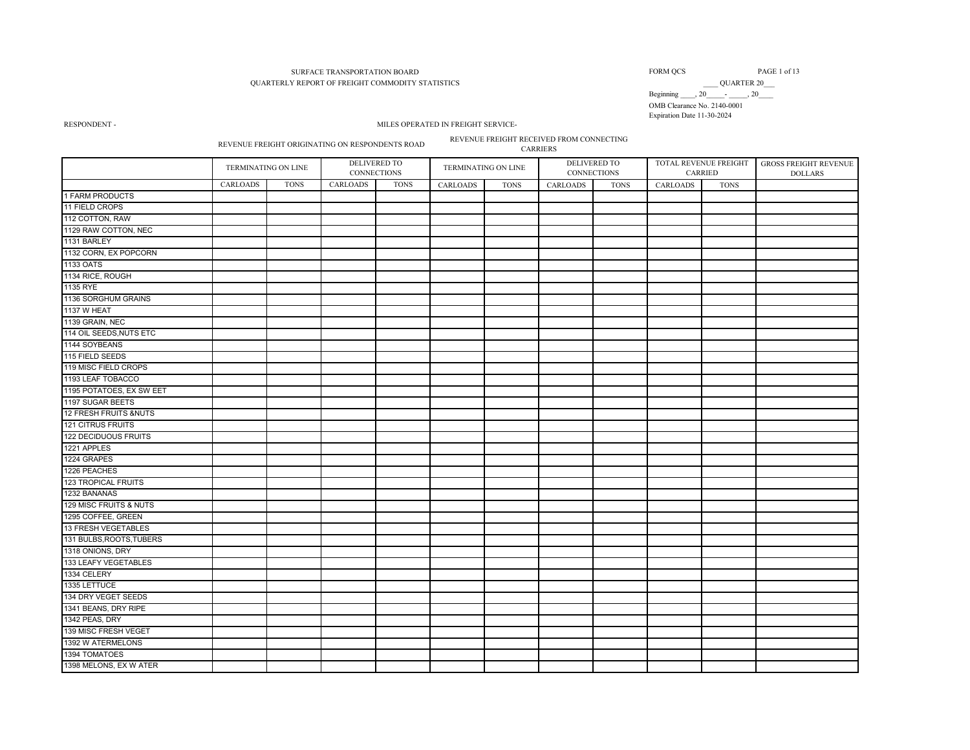#### SURFACE TRANSPORTATION BOARD QUARTERLY REPORT OF FREIGHT COMMODITY STATISTICS

### FORM QCS PAGE 1 of 13

\_\_\_\_ QUARTER 20\_\_\_

OMB Clearance No. 2140-0001 Beginning  $\overline{\phantom{a}0 \phantom{a}}$ ,  $\overline{\phantom{a}20 \phantom{a}}$ ,  $\overline{\phantom{a}20 \phantom{a}}$ Expiration Date 11-30-2024

#### RESPONDENT - MILES OPERATED IN FREIGHT SERVICE-

REVENUE FREIGHT ORIGINATING ON RESPONDENTS ROAD REVENUE FREIGHT RECEIVED FROM CONNECTING CARRIERS

|                             | TERMINATING ON LINE |             | DELIVERED TO<br><b>CONNECTIONS</b> |             |          | TERMINATING ON LINE | DELIVERED TO<br><b>CONNECTIONS</b> |             |          | TOTAL REVENUE FREIGHT<br>CARRIED | <b>GROSS FREIGHT REVENUE</b><br><b>DOLLARS</b> |
|-----------------------------|---------------------|-------------|------------------------------------|-------------|----------|---------------------|------------------------------------|-------------|----------|----------------------------------|------------------------------------------------|
|                             | CARLOADS            | <b>TONS</b> | CARLOADS                           | <b>TONS</b> | CARLOADS | <b>TONS</b>         | CARLOADS                           | <b>TONS</b> | CARLOADS | <b>TONS</b>                      |                                                |
| 1 FARM PRODUCTS             |                     |             |                                    |             |          |                     |                                    |             |          |                                  |                                                |
| 11 FIELD CROPS              |                     |             |                                    |             |          |                     |                                    |             |          |                                  |                                                |
| 112 COTTON, RAW             |                     |             |                                    |             |          |                     |                                    |             |          |                                  |                                                |
| 1129 RAW COTTON, NEC        |                     |             |                                    |             |          |                     |                                    |             |          |                                  |                                                |
| 1131 BARLEY                 |                     |             |                                    |             |          |                     |                                    |             |          |                                  |                                                |
| 1132 CORN, EX POPCORN       |                     |             |                                    |             |          |                     |                                    |             |          |                                  |                                                |
| 1133 OATS                   |                     |             |                                    |             |          |                     |                                    |             |          |                                  |                                                |
| 1134 RICE, ROUGH            |                     |             |                                    |             |          |                     |                                    |             |          |                                  |                                                |
| 1135 RYE                    |                     |             |                                    |             |          |                     |                                    |             |          |                                  |                                                |
| 1136 SORGHUM GRAINS         |                     |             |                                    |             |          |                     |                                    |             |          |                                  |                                                |
| <b>1137 W HEAT</b>          |                     |             |                                    |             |          |                     |                                    |             |          |                                  |                                                |
| 1139 GRAIN, NEC             |                     |             |                                    |             |          |                     |                                    |             |          |                                  |                                                |
| 114 OIL SEEDS, NUTS ETC     |                     |             |                                    |             |          |                     |                                    |             |          |                                  |                                                |
| 1144 SOYBEANS               |                     |             |                                    |             |          |                     |                                    |             |          |                                  |                                                |
| 115 FIELD SEEDS             |                     |             |                                    |             |          |                     |                                    |             |          |                                  |                                                |
| 119 MISC FIELD CROPS        |                     |             |                                    |             |          |                     |                                    |             |          |                                  |                                                |
| 1193 LEAF TOBACCO           |                     |             |                                    |             |          |                     |                                    |             |          |                                  |                                                |
| 1195 POTATOES, EX SW EET    |                     |             |                                    |             |          |                     |                                    |             |          |                                  |                                                |
| 1197 SUGAR BEETS            |                     |             |                                    |             |          |                     |                                    |             |          |                                  |                                                |
| 12 FRESH FRUITS &NUTS       |                     |             |                                    |             |          |                     |                                    |             |          |                                  |                                                |
| 121 CITRUS FRUITS           |                     |             |                                    |             |          |                     |                                    |             |          |                                  |                                                |
| <b>122 DECIDUOUS FRUITS</b> |                     |             |                                    |             |          |                     |                                    |             |          |                                  |                                                |
| 1221 APPLES                 |                     |             |                                    |             |          |                     |                                    |             |          |                                  |                                                |
| 1224 GRAPES                 |                     |             |                                    |             |          |                     |                                    |             |          |                                  |                                                |
| 1226 PEACHES                |                     |             |                                    |             |          |                     |                                    |             |          |                                  |                                                |
| 123 TROPICAL FRUITS         |                     |             |                                    |             |          |                     |                                    |             |          |                                  |                                                |
| 1232 BANANAS                |                     |             |                                    |             |          |                     |                                    |             |          |                                  |                                                |
| 129 MISC FRUITS & NUTS      |                     |             |                                    |             |          |                     |                                    |             |          |                                  |                                                |
| 1295 COFFEE, GREEN          |                     |             |                                    |             |          |                     |                                    |             |          |                                  |                                                |
| 13 FRESH VEGETABLES         |                     |             |                                    |             |          |                     |                                    |             |          |                                  |                                                |
| 131 BULBS, ROOTS, TUBERS    |                     |             |                                    |             |          |                     |                                    |             |          |                                  |                                                |
| 1318 ONIONS, DRY            |                     |             |                                    |             |          |                     |                                    |             |          |                                  |                                                |
| 133 LEAFY VEGETABLES        |                     |             |                                    |             |          |                     |                                    |             |          |                                  |                                                |
| 1334 CELERY                 |                     |             |                                    |             |          |                     |                                    |             |          |                                  |                                                |
| 1335 LETTUCE                |                     |             |                                    |             |          |                     |                                    |             |          |                                  |                                                |
| 134 DRY VEGET SEEDS         |                     |             |                                    |             |          |                     |                                    |             |          |                                  |                                                |
| 1341 BEANS, DRY RIPE        |                     |             |                                    |             |          |                     |                                    |             |          |                                  |                                                |
| 1342 PEAS, DRY              |                     |             |                                    |             |          |                     |                                    |             |          |                                  |                                                |
| 139 MISC FRESH VEGET        |                     |             |                                    |             |          |                     |                                    |             |          |                                  |                                                |
| 1392 W ATERMELONS           |                     |             |                                    |             |          |                     |                                    |             |          |                                  |                                                |
| 1394 TOMATOES               |                     |             |                                    |             |          |                     |                                    |             |          |                                  |                                                |
| 1398 MELONS, EX W ATER      |                     |             |                                    |             |          |                     |                                    |             |          |                                  |                                                |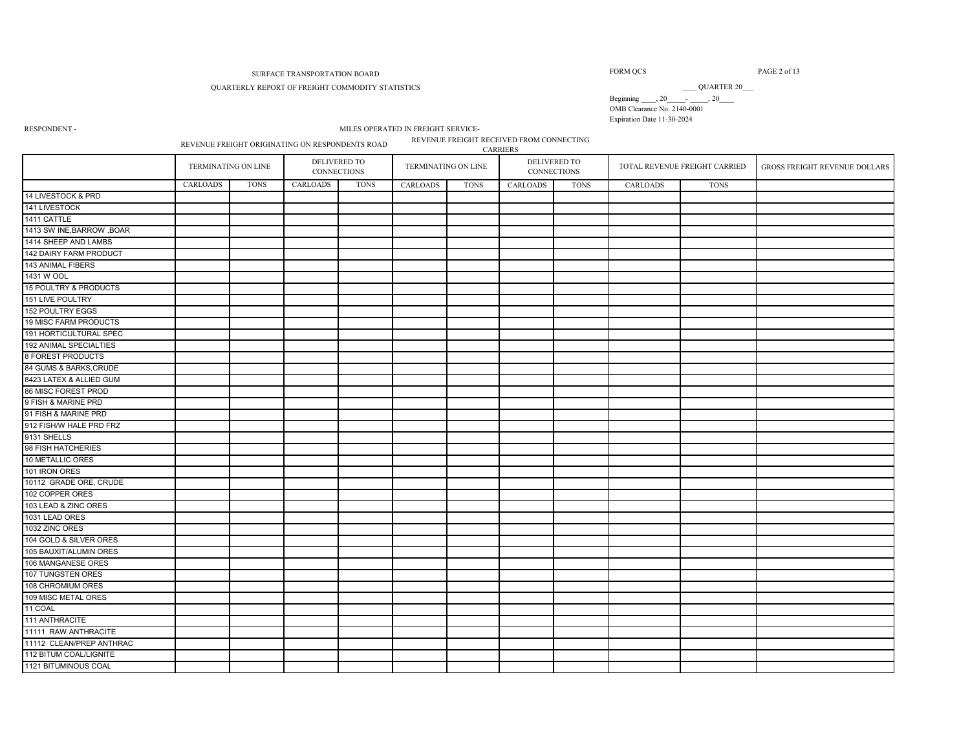#### QUARTERLY REPORT OF FREIGHT COMMODITY STATISTICS

FORM QCS PAGE 2 of 13

 $\begin{tabular}{c} \multicolumn{2}{c}{{\small \underline{\hspace{1cm}}}} \multicolumn{2}{c}{{\small \underline{\hspace{1cm}}}} \multicolumn{2}{c}{{\small \underline{\hspace{1cm}}}} \multicolumn{2}{c}{{\small \underline{\hspace{1cm}}}} \multicolumn{2}{c}{{\small \underline{\hspace{1cm}}}} \multicolumn{2}{c}{{\small \underline{\hspace{1cm}}}} \multicolumn{2}{c}{{\small \underline{\hspace{1cm}}}} \multicolumn{2}{c}{{\small \underline{\hspace{1cm}}}} \multicolumn{2}{c}{{\small \underline{\hspace{1cm}}}} \multicolumn{2}{c}{{\small \underline$ 

OMB Clearance No. 2140-0001 Expiration Date 11-30-2024

RESPONDENT -

MILES OPERATED IN FREIGHT SERVICE-<br>NIDENTE BOAD REVENUE FREIGHT RECEIVED FROM CONNECTING

REVENUE FREIGHT ORIGINATING ON RESPONDENTS ROAD

CARRIERS

|                                  | TERMINATING ON LINE |             |          | DELIVERED TO<br>CONNECTIONS |                 | TERMINATING ON LINE |          | DELIVERED TO<br>CONNECTIONS |                 | TOTAL REVENUE FREIGHT CARRIED | GROSS FREIGHT REVENUE DOLLARS |
|----------------------------------|---------------------|-------------|----------|-----------------------------|-----------------|---------------------|----------|-----------------------------|-----------------|-------------------------------|-------------------------------|
|                                  | CARLOADS            | <b>TONS</b> | CARLOADS | <b>TONS</b>                 | <b>CARLOADS</b> | <b>TONS</b>         | CARLOADS | <b>TONS</b>                 | <b>CARLOADS</b> | <b>TONS</b>                   |                               |
| 14 LIVESTOCK & PRD               |                     |             |          |                             |                 |                     |          |                             |                 |                               |                               |
| 141 LIVESTOCK                    |                     |             |          |                             |                 |                     |          |                             |                 |                               |                               |
| 1411 CATTLE                      |                     |             |          |                             |                 |                     |          |                             |                 |                               |                               |
| 1413 SW INE, BARROW, BOAR        |                     |             |          |                             |                 |                     |          |                             |                 |                               |                               |
| 1414 SHEEP AND LAMBS             |                     |             |          |                             |                 |                     |          |                             |                 |                               |                               |
| 142 DAIRY FARM PRODUCT           |                     |             |          |                             |                 |                     |          |                             |                 |                               |                               |
| 143 ANIMAL FIBERS                |                     |             |          |                             |                 |                     |          |                             |                 |                               |                               |
| 1431 W OOL                       |                     |             |          |                             |                 |                     |          |                             |                 |                               |                               |
| <b>15 POULTRY &amp; PRODUCTS</b> |                     |             |          |                             |                 |                     |          |                             |                 |                               |                               |
| 151 LIVE POULTRY                 |                     |             |          |                             |                 |                     |          |                             |                 |                               |                               |
| 152 POULTRY EGGS                 |                     |             |          |                             |                 |                     |          |                             |                 |                               |                               |
| <b>19 MISC FARM PRODUCTS</b>     |                     |             |          |                             |                 |                     |          |                             |                 |                               |                               |
| 191 HORTICULTURAL SPEC           |                     |             |          |                             |                 |                     |          |                             |                 |                               |                               |
| 192 ANIMAL SPECIALTIES           |                     |             |          |                             |                 |                     |          |                             |                 |                               |                               |
| <b>8 FOREST PRODUCTS</b>         |                     |             |          |                             |                 |                     |          |                             |                 |                               |                               |
| 84 GUMS & BARKS, CRUDE           |                     |             |          |                             |                 |                     |          |                             |                 |                               |                               |
| 8423 LATEX & ALLIED GUM          |                     |             |          |                             |                 |                     |          |                             |                 |                               |                               |
| 86 MISC FOREST PROD              |                     |             |          |                             |                 |                     |          |                             |                 |                               |                               |
| 9 FISH & MARINE PRD              |                     |             |          |                             |                 |                     |          |                             |                 |                               |                               |
| 91 FISH & MARINE PRD             |                     |             |          |                             |                 |                     |          |                             |                 |                               |                               |
| 912 FISH/W HALE PRD FRZ          |                     |             |          |                             |                 |                     |          |                             |                 |                               |                               |
| 9131 SHELLS                      |                     |             |          |                             |                 |                     |          |                             |                 |                               |                               |
| 98 FISH HATCHERIES               |                     |             |          |                             |                 |                     |          |                             |                 |                               |                               |
| 10 METALLIC ORES                 |                     |             |          |                             |                 |                     |          |                             |                 |                               |                               |
| 101 IRON ORES                    |                     |             |          |                             |                 |                     |          |                             |                 |                               |                               |
| 10112 GRADE ORE, CRUDE           |                     |             |          |                             |                 |                     |          |                             |                 |                               |                               |
| 102 COPPER ORES                  |                     |             |          |                             |                 |                     |          |                             |                 |                               |                               |
| 103 LEAD & ZINC ORES             |                     |             |          |                             |                 |                     |          |                             |                 |                               |                               |
| 1031 LEAD ORES                   |                     |             |          |                             |                 |                     |          |                             |                 |                               |                               |
| 1032 ZINC ORES                   |                     |             |          |                             |                 |                     |          |                             |                 |                               |                               |
| 104 GOLD & SILVER ORES           |                     |             |          |                             |                 |                     |          |                             |                 |                               |                               |
| 105 BAUXIT/ALUMIN ORES           |                     |             |          |                             |                 |                     |          |                             |                 |                               |                               |
| 106 MANGANESE ORES               |                     |             |          |                             |                 |                     |          |                             |                 |                               |                               |
| 107 TUNGSTEN ORES                |                     |             |          |                             |                 |                     |          |                             |                 |                               |                               |
| 108 CHROMIUM ORES                |                     |             |          |                             |                 |                     |          |                             |                 |                               |                               |
| 109 MISC METAL ORES              |                     |             |          |                             |                 |                     |          |                             |                 |                               |                               |
| 11 COAL                          |                     |             |          |                             |                 |                     |          |                             |                 |                               |                               |
| 111 ANTHRACITE                   |                     |             |          |                             |                 |                     |          |                             |                 |                               |                               |
| 11111 RAW ANTHRACITE             |                     |             |          |                             |                 |                     |          |                             |                 |                               |                               |
| 11112 CLEAN/PREP ANTHRAC         |                     |             |          |                             |                 |                     |          |                             |                 |                               |                               |
| 112 BITUM COAL/LIGNITE           |                     |             |          |                             |                 |                     |          |                             |                 |                               |                               |
| 1121 BITUMINOUS COAL             |                     |             |          |                             |                 |                     |          |                             |                 |                               |                               |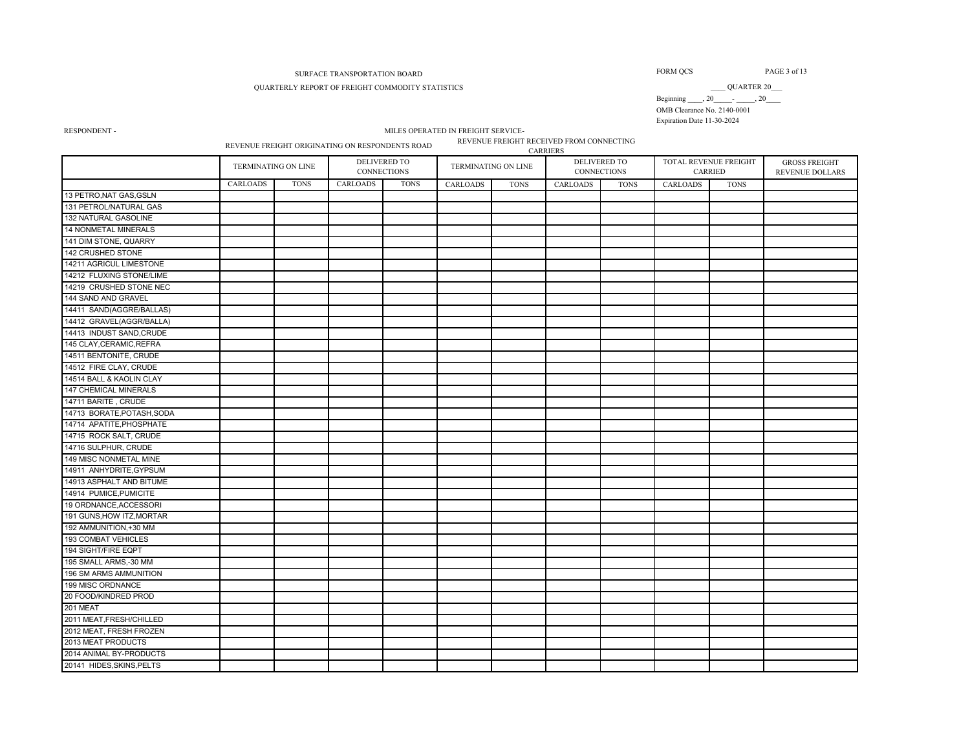# QUARTERLY REPORT OF FREIGHT COMMODITY STATISTICS \_\_\_\_ QUARTER 20\_\_\_

FORM QCS PAGE 3 of 13

OMB Clearance No. 2140-0001 Beginning  $\overline{\phantom{a}}$ ,  $20$   $\overline{\phantom{a}}$   $\overline{\phantom{a}}$ ,  $20$ Expiration Date 11-30-2024

RESPONDENT - MILES OPERATED IN FREIGHT SERVICE-<br>PELEVICE ENGINEERE ON PERSPONDENTS DOAD REVENUE FREIGHT RECEIVED FROM CONNECTING REVENUE FREIGHT ORIGINATING ON RESPONDENTS ROAD CARRIERS

|                              | TERMINATING ON LINE |             |          | DELIVERED TO<br><b>CONNECTIONS</b> |          | TERMINATING ON LINE | <i>Continuo</i><br>DELIVERED TO | <b>CONNECTIONS</b> |                 | TOTAL REVENUE FREIGHT<br>CARRIED | <b>GROSS FREIGHT</b><br>REVENUE DOLLARS |
|------------------------------|---------------------|-------------|----------|------------------------------------|----------|---------------------|---------------------------------|--------------------|-----------------|----------------------------------|-----------------------------------------|
|                              | CARLOADS            | <b>TONS</b> | CARLOADS | <b>TONS</b>                        | CARLOADS | <b>TONS</b>         | CARLOADS                        | <b>TONS</b>        | <b>CARLOADS</b> | <b>TONS</b>                      |                                         |
| 13 PETRO, NAT GAS, GSLN      |                     |             |          |                                    |          |                     |                                 |                    |                 |                                  |                                         |
| 131 PETROL/NATURAL GAS       |                     |             |          |                                    |          |                     |                                 |                    |                 |                                  |                                         |
| 132 NATURAL GASOLINE         |                     |             |          |                                    |          |                     |                                 |                    |                 |                                  |                                         |
| <b>14 NONMETAL MINERALS</b>  |                     |             |          |                                    |          |                     |                                 |                    |                 |                                  |                                         |
| 141 DIM STONE, QUARRY        |                     |             |          |                                    |          |                     |                                 |                    |                 |                                  |                                         |
| 142 CRUSHED STONE            |                     |             |          |                                    |          |                     |                                 |                    |                 |                                  |                                         |
| 14211 AGRICUL LIMESTONE      |                     |             |          |                                    |          |                     |                                 |                    |                 |                                  |                                         |
| 14212 FLUXING STONE/LIME     |                     |             |          |                                    |          |                     |                                 |                    |                 |                                  |                                         |
| 14219 CRUSHED STONE NEC      |                     |             |          |                                    |          |                     |                                 |                    |                 |                                  |                                         |
| 144 SAND AND GRAVEL          |                     |             |          |                                    |          |                     |                                 |                    |                 |                                  |                                         |
| 14411 SAND(AGGRE/BALLAS)     |                     |             |          |                                    |          |                     |                                 |                    |                 |                                  |                                         |
| 14412 GRAVEL(AGGR/BALLA)     |                     |             |          |                                    |          |                     |                                 |                    |                 |                                  |                                         |
| 14413 INDUST SAND, CRUDE     |                     |             |          |                                    |          |                     |                                 |                    |                 |                                  |                                         |
| 145 CLAY, CERAMIC, REFRA     |                     |             |          |                                    |          |                     |                                 |                    |                 |                                  |                                         |
| 14511 BENTONITE, CRUDE       |                     |             |          |                                    |          |                     |                                 |                    |                 |                                  |                                         |
| 14512 FIRE CLAY, CRUDE       |                     |             |          |                                    |          |                     |                                 |                    |                 |                                  |                                         |
| 14514 BALL & KAOLIN CLAY     |                     |             |          |                                    |          |                     |                                 |                    |                 |                                  |                                         |
| <b>147 CHEMICAL MINERALS</b> |                     |             |          |                                    |          |                     |                                 |                    |                 |                                  |                                         |
| 14711 BARITE, CRUDE          |                     |             |          |                                    |          |                     |                                 |                    |                 |                                  |                                         |
| 14713 BORATE, POTASH, SODA   |                     |             |          |                                    |          |                     |                                 |                    |                 |                                  |                                         |
| 14714 APATITE, PHOSPHATE     |                     |             |          |                                    |          |                     |                                 |                    |                 |                                  |                                         |
| 14715 ROCK SALT, CRUDE       |                     |             |          |                                    |          |                     |                                 |                    |                 |                                  |                                         |
| 14716 SULPHUR, CRUDE         |                     |             |          |                                    |          |                     |                                 |                    |                 |                                  |                                         |
| 149 MISC NONMETAL MINE       |                     |             |          |                                    |          |                     |                                 |                    |                 |                                  |                                         |
| 14911 ANHYDRITE, GYPSUM      |                     |             |          |                                    |          |                     |                                 |                    |                 |                                  |                                         |
| 14913 ASPHALT AND BITUME     |                     |             |          |                                    |          |                     |                                 |                    |                 |                                  |                                         |
| 14914 PUMICE, PUMICITE       |                     |             |          |                                    |          |                     |                                 |                    |                 |                                  |                                         |
| 19 ORDNANCE, ACCESSORI       |                     |             |          |                                    |          |                     |                                 |                    |                 |                                  |                                         |
| 191 GUNS, HOW ITZ, MORTAR    |                     |             |          |                                    |          |                     |                                 |                    |                 |                                  |                                         |
| 192 AMMUNITION, +30 MM       |                     |             |          |                                    |          |                     |                                 |                    |                 |                                  |                                         |
| <b>193 COMBAT VEHICLES</b>   |                     |             |          |                                    |          |                     |                                 |                    |                 |                                  |                                         |
| 194 SIGHT/FIRE EQPT          |                     |             |          |                                    |          |                     |                                 |                    |                 |                                  |                                         |
| 195 SMALL ARMS,-30 MM        |                     |             |          |                                    |          |                     |                                 |                    |                 |                                  |                                         |
| 196 SM ARMS AMMUNITION       |                     |             |          |                                    |          |                     |                                 |                    |                 |                                  |                                         |
| 199 MISC ORDNANCE            |                     |             |          |                                    |          |                     |                                 |                    |                 |                                  |                                         |
| 20 FOOD/KINDRED PROD         |                     |             |          |                                    |          |                     |                                 |                    |                 |                                  |                                         |
| 201 MEAT                     |                     |             |          |                                    |          |                     |                                 |                    |                 |                                  |                                         |
| 2011 MEAT, FRESH/CHILLED     |                     |             |          |                                    |          |                     |                                 |                    |                 |                                  |                                         |
| 2012 MEAT, FRESH FROZEN      |                     |             |          |                                    |          |                     |                                 |                    |                 |                                  |                                         |
| 2013 MEAT PRODUCTS           |                     |             |          |                                    |          |                     |                                 |                    |                 |                                  |                                         |
| 2014 ANIMAL BY-PRODUCTS      |                     |             |          |                                    |          |                     |                                 |                    |                 |                                  |                                         |
| 20141 HIDES, SKINS, PELTS    |                     |             |          |                                    |          |                     |                                 |                    |                 |                                  |                                         |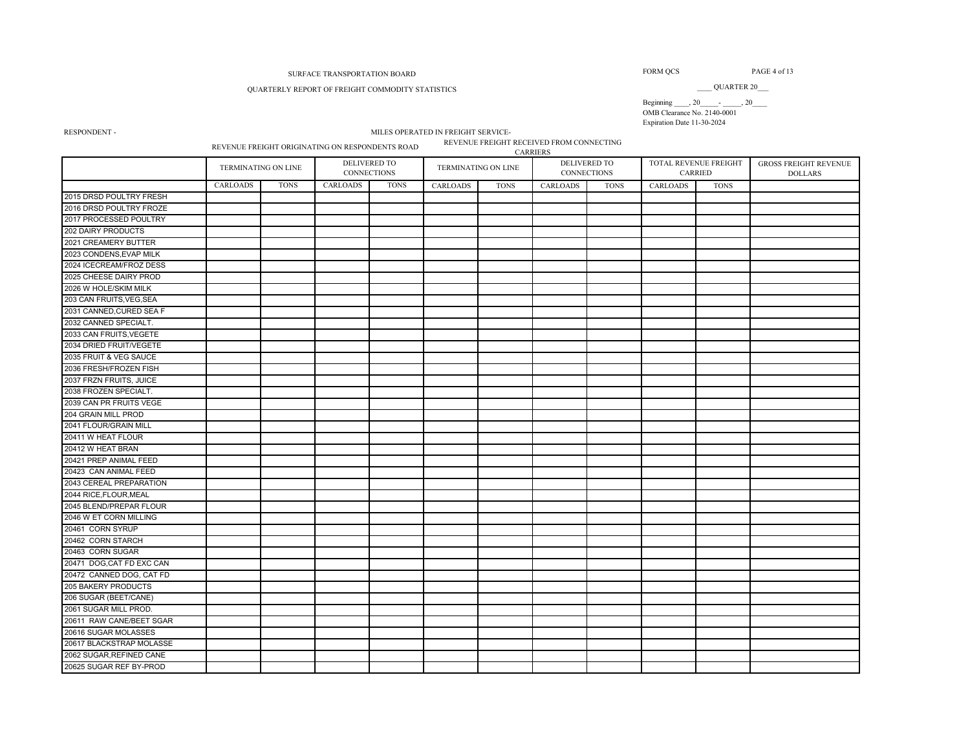# QUARTERLY REPORT OF FREIGHT COMMODITY STATISTICS \_\_\_\_ QUARTER 20\_\_\_

FORM QCS PAGE 4 of 13

OMB Clearance No. 2140-0001 Beginning  $\_\_$ , 20 $\_\_$ - $\_\_$ , 20 $\_\_$ Expiration Date 11-30-2024

RESPONDENT - MILES OPERATED IN FREIGHT SERVICE-

REVENUE FREIGHT ORIGINATING ON RESPONDENTS ROAD REVENUE FREIGHT RECEIVED FROM CONNECTING CARRIERS

|                            | <b>TERMINATING ON LINE</b> |             |          | DELIVERED TO<br><b>CONNECTIONS</b> |                 | TERMINATING ON LINE |                 | DELIVERED TO<br><b>CONNECTIONS</b> |                 | TOTAL REVENUE FREIGHT<br><b>CARRIED</b> | GROSS FREIGHT REVENUE<br><b>DOLLARS</b> |
|----------------------------|----------------------------|-------------|----------|------------------------------------|-----------------|---------------------|-----------------|------------------------------------|-----------------|-----------------------------------------|-----------------------------------------|
|                            | <b>CARLOADS</b>            | <b>TONS</b> | CARLOADS | <b>TONS</b>                        | <b>CARLOADS</b> | <b>TONS</b>         | <b>CARLOADS</b> | <b>TONS</b>                        | <b>CARLOADS</b> | <b>TONS</b>                             |                                         |
| 2015 DRSD POULTRY FRESH    |                            |             |          |                                    |                 |                     |                 |                                    |                 |                                         |                                         |
| 2016 DRSD POULTRY FROZE    |                            |             |          |                                    |                 |                     |                 |                                    |                 |                                         |                                         |
| 2017 PROCESSED POULTRY     |                            |             |          |                                    |                 |                     |                 |                                    |                 |                                         |                                         |
| 202 DAIRY PRODUCTS         |                            |             |          |                                    |                 |                     |                 |                                    |                 |                                         |                                         |
| 2021 CREAMERY BUTTER       |                            |             |          |                                    |                 |                     |                 |                                    |                 |                                         |                                         |
| 2023 CONDENS, EVAP MILK    |                            |             |          |                                    |                 |                     |                 |                                    |                 |                                         |                                         |
| 2024 ICECREAM/FROZ DESS    |                            |             |          |                                    |                 |                     |                 |                                    |                 |                                         |                                         |
| 2025 CHEESE DAIRY PROD     |                            |             |          |                                    |                 |                     |                 |                                    |                 |                                         |                                         |
| 2026 W HOLE/SKIM MILK      |                            |             |          |                                    |                 |                     |                 |                                    |                 |                                         |                                         |
| 203 CAN FRUITS, VEG, SEA   |                            |             |          |                                    |                 |                     |                 |                                    |                 |                                         |                                         |
| 2031 CANNED, CURED SEA F   |                            |             |          |                                    |                 |                     |                 |                                    |                 |                                         |                                         |
| 2032 CANNED SPECIALT.      |                            |             |          |                                    |                 |                     |                 |                                    |                 |                                         |                                         |
| 2033 CAN FRUITS, VEGETE    |                            |             |          |                                    |                 |                     |                 |                                    |                 |                                         |                                         |
| 2034 DRIED FRUIT/VEGETE    |                            |             |          |                                    |                 |                     |                 |                                    |                 |                                         |                                         |
| 2035 FRUIT & VEG SAUCE     |                            |             |          |                                    |                 |                     |                 |                                    |                 |                                         |                                         |
| 2036 FRESH/FROZEN FISH     |                            |             |          |                                    |                 |                     |                 |                                    |                 |                                         |                                         |
| 2037 FRZN FRUITS, JUICE    |                            |             |          |                                    |                 |                     |                 |                                    |                 |                                         |                                         |
| 2038 FROZEN SPECIALT.      |                            |             |          |                                    |                 |                     |                 |                                    |                 |                                         |                                         |
| 2039 CAN PR FRUITS VEGE    |                            |             |          |                                    |                 |                     |                 |                                    |                 |                                         |                                         |
| 204 GRAIN MILL PROD        |                            |             |          |                                    |                 |                     |                 |                                    |                 |                                         |                                         |
| 2041 FLOUR/GRAIN MILL      |                            |             |          |                                    |                 |                     |                 |                                    |                 |                                         |                                         |
| 20411 W HEAT FLOUR         |                            |             |          |                                    |                 |                     |                 |                                    |                 |                                         |                                         |
| 20412 W HEAT BRAN          |                            |             |          |                                    |                 |                     |                 |                                    |                 |                                         |                                         |
| 20421 PREP ANIMAL FEED     |                            |             |          |                                    |                 |                     |                 |                                    |                 |                                         |                                         |
| 20423 CAN ANIMAL FEED      |                            |             |          |                                    |                 |                     |                 |                                    |                 |                                         |                                         |
| 2043 CEREAL PREPARATION    |                            |             |          |                                    |                 |                     |                 |                                    |                 |                                         |                                         |
| 2044 RICE, FLOUR, MEAL     |                            |             |          |                                    |                 |                     |                 |                                    |                 |                                         |                                         |
| 2045 BLEND/PREPAR FLOUR    |                            |             |          |                                    |                 |                     |                 |                                    |                 |                                         |                                         |
| 2046 W ET CORN MILLING     |                            |             |          |                                    |                 |                     |                 |                                    |                 |                                         |                                         |
| 20461 CORN SYRUP           |                            |             |          |                                    |                 |                     |                 |                                    |                 |                                         |                                         |
| 20462 CORN STARCH          |                            |             |          |                                    |                 |                     |                 |                                    |                 |                                         |                                         |
| 20463 CORN SUGAR           |                            |             |          |                                    |                 |                     |                 |                                    |                 |                                         |                                         |
| 20471 DOG, CAT FD EXC CAN  |                            |             |          |                                    |                 |                     |                 |                                    |                 |                                         |                                         |
| 20472 CANNED DOG, CAT FD   |                            |             |          |                                    |                 |                     |                 |                                    |                 |                                         |                                         |
| <b>205 BAKERY PRODUCTS</b> |                            |             |          |                                    |                 |                     |                 |                                    |                 |                                         |                                         |
| 206 SUGAR (BEET/CANE)      |                            |             |          |                                    |                 |                     |                 |                                    |                 |                                         |                                         |
| 2061 SUGAR MILL PROD.      |                            |             |          |                                    |                 |                     |                 |                                    |                 |                                         |                                         |
| 20611 RAW CANE/BEET SGAR   |                            |             |          |                                    |                 |                     |                 |                                    |                 |                                         |                                         |
| 20616 SUGAR MOLASSES       |                            |             |          |                                    |                 |                     |                 |                                    |                 |                                         |                                         |
| 20617 BLACKSTRAP MOLASSE   |                            |             |          |                                    |                 |                     |                 |                                    |                 |                                         |                                         |
| 2062 SUGAR, REFINED CANE   |                            |             |          |                                    |                 |                     |                 |                                    |                 |                                         |                                         |
| 20625 SUGAR REF BY-PROD    |                            |             |          |                                    |                 |                     |                 |                                    |                 |                                         |                                         |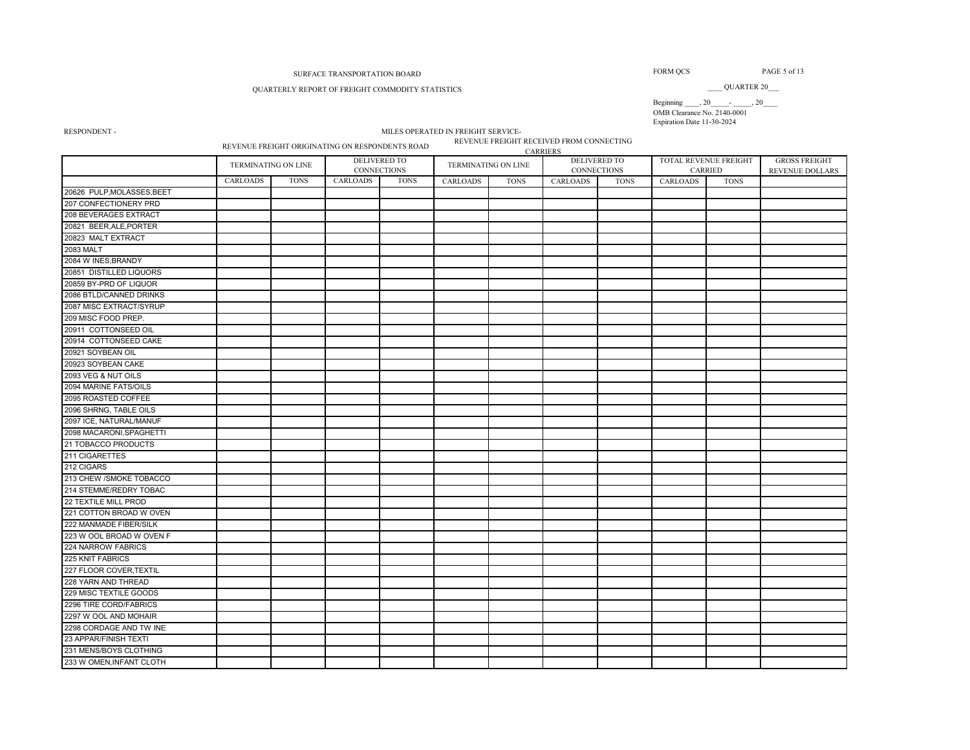# QUARTERLY REPORT OF FREIGHT COMMODITY STATISTICS \_\_\_\_ QUARTER 20\_\_\_

OMB Clearance No. 2140-0001 Beginning \_\_\_\_, 20\_\_\_\_\_- \_\_\_\_\_, 20\_\_\_\_ Expiration Date 11-30-2024

RESPONDENT -<br>RESPONDENT - REVENUE ENERGY ON BEDONATING ON BEDONDENTS BOAD REVENUE FREIGHT RECEIVED FROM CONNECTING REVENUE FREIGHT ORIGINATING ON RESPONDENTS ROAD CARRIERS

|                             | DELIVERED TO<br>TERMINATING ON LINE |             | CANNIENS<br>DELIVERED TO<br><b>TERMINATING ON LINE</b> |                    |          |             |                 | TOTAL REVENUE FREIGHT | <b>GROSS FREIGHT</b> |                |                 |
|-----------------------------|-------------------------------------|-------------|--------------------------------------------------------|--------------------|----------|-------------|-----------------|-----------------------|----------------------|----------------|-----------------|
|                             |                                     |             |                                                        | <b>CONNECTIONS</b> |          |             |                 | <b>CONNECTIONS</b>    |                      | <b>CARRIED</b> | REVENUE DOLLARS |
|                             | CARLOADS                            | <b>TONS</b> | CARLOADS                                               | <b>TONS</b>        | CARLOADS | <b>TONS</b> | <b>CARLOADS</b> | <b>TONS</b>           | CARLOADS             | <b>TONS</b>    |                 |
| 20626 PULP, MOLASSES, BEET  |                                     |             |                                                        |                    |          |             |                 |                       |                      |                |                 |
| 207 CONFECTIONERY PRD       |                                     |             |                                                        |                    |          |             |                 |                       |                      |                |                 |
| 208 BEVERAGES EXTRACT       |                                     |             |                                                        |                    |          |             |                 |                       |                      |                |                 |
| 20821 BEER, ALE, PORTER     |                                     |             |                                                        |                    |          |             |                 |                       |                      |                |                 |
| 20823 MALT EXTRACT          |                                     |             |                                                        |                    |          |             |                 |                       |                      |                |                 |
| 2083 MALT                   |                                     |             |                                                        |                    |          |             |                 |                       |                      |                |                 |
| 2084 W INES, BRANDY         |                                     |             |                                                        |                    |          |             |                 |                       |                      |                |                 |
| 20851 DISTILLED LIQUORS     |                                     |             |                                                        |                    |          |             |                 |                       |                      |                |                 |
| 20859 BY-PRD OF LIQUOR      |                                     |             |                                                        |                    |          |             |                 |                       |                      |                |                 |
| 2086 BTLD/CANNED DRINKS     |                                     |             |                                                        |                    |          |             |                 |                       |                      |                |                 |
| 2087 MISC EXTRACT/SYRUP     |                                     |             |                                                        |                    |          |             |                 |                       |                      |                |                 |
| 209 MISC FOOD PREP.         |                                     |             |                                                        |                    |          |             |                 |                       |                      |                |                 |
| 20911 COTTONSEED OIL        |                                     |             |                                                        |                    |          |             |                 |                       |                      |                |                 |
| 20914 COTTONSEED CAKE       |                                     |             |                                                        |                    |          |             |                 |                       |                      |                |                 |
| 20921 SOYBEAN OIL           |                                     |             |                                                        |                    |          |             |                 |                       |                      |                |                 |
| 20923 SOYBEAN CAKE          |                                     |             |                                                        |                    |          |             |                 |                       |                      |                |                 |
| 2093 VEG & NUT OILS         |                                     |             |                                                        |                    |          |             |                 |                       |                      |                |                 |
| 2094 MARINE FATS/OILS       |                                     |             |                                                        |                    |          |             |                 |                       |                      |                |                 |
| 2095 ROASTED COFFEE         |                                     |             |                                                        |                    |          |             |                 |                       |                      |                |                 |
| 2096 SHRNG, TABLE OILS      |                                     |             |                                                        |                    |          |             |                 |                       |                      |                |                 |
| 2097 ICE, NATURAL/MANUF     |                                     |             |                                                        |                    |          |             |                 |                       |                      |                |                 |
| 2098 MACARONI, SPAGHETTI    |                                     |             |                                                        |                    |          |             |                 |                       |                      |                |                 |
| 21 TOBACCO PRODUCTS         |                                     |             |                                                        |                    |          |             |                 |                       |                      |                |                 |
| 211 CIGARETTES              |                                     |             |                                                        |                    |          |             |                 |                       |                      |                |                 |
| 212 CIGARS                  |                                     |             |                                                        |                    |          |             |                 |                       |                      |                |                 |
| 213 CHEW / SMOKE TOBACCO    |                                     |             |                                                        |                    |          |             |                 |                       |                      |                |                 |
| 214 STEMME/REDRY TOBAC      |                                     |             |                                                        |                    |          |             |                 |                       |                      |                |                 |
| <b>22 TEXTILE MILL PROD</b> |                                     |             |                                                        |                    |          |             |                 |                       |                      |                |                 |
| 221 COTTON BROAD W OVEN     |                                     |             |                                                        |                    |          |             |                 |                       |                      |                |                 |
| 222 MANMADE FIBER/SILK      |                                     |             |                                                        |                    |          |             |                 |                       |                      |                |                 |
| 223 W OOL BROAD W OVEN F    |                                     |             |                                                        |                    |          |             |                 |                       |                      |                |                 |
| <b>224 NARROW FABRICS</b>   |                                     |             |                                                        |                    |          |             |                 |                       |                      |                |                 |
| 225 KNIT FABRICS            |                                     |             |                                                        |                    |          |             |                 |                       |                      |                |                 |
| 227 FLOOR COVER, TEXTIL     |                                     |             |                                                        |                    |          |             |                 |                       |                      |                |                 |
| 228 YARN AND THREAD         |                                     |             |                                                        |                    |          |             |                 |                       |                      |                |                 |
| 229 MISC TEXTILE GOODS      |                                     |             |                                                        |                    |          |             |                 |                       |                      |                |                 |
| 2296 TIRE CORD/FABRICS      |                                     |             |                                                        |                    |          |             |                 |                       |                      |                |                 |
| 2297 W OOL AND MOHAIR       |                                     |             |                                                        |                    |          |             |                 |                       |                      |                |                 |
| 2298 CORDAGE AND TW INE     |                                     |             |                                                        |                    |          |             |                 |                       |                      |                |                 |
| 23 APPAR/FINISH TEXTI       |                                     |             |                                                        |                    |          |             |                 |                       |                      |                |                 |
| 231 MENS/BOYS CLOTHING      |                                     |             |                                                        |                    |          |             |                 |                       |                      |                |                 |
| 233 W OMEN, INFANT CLOTH    |                                     |             |                                                        |                    |          |             |                 |                       |                      |                |                 |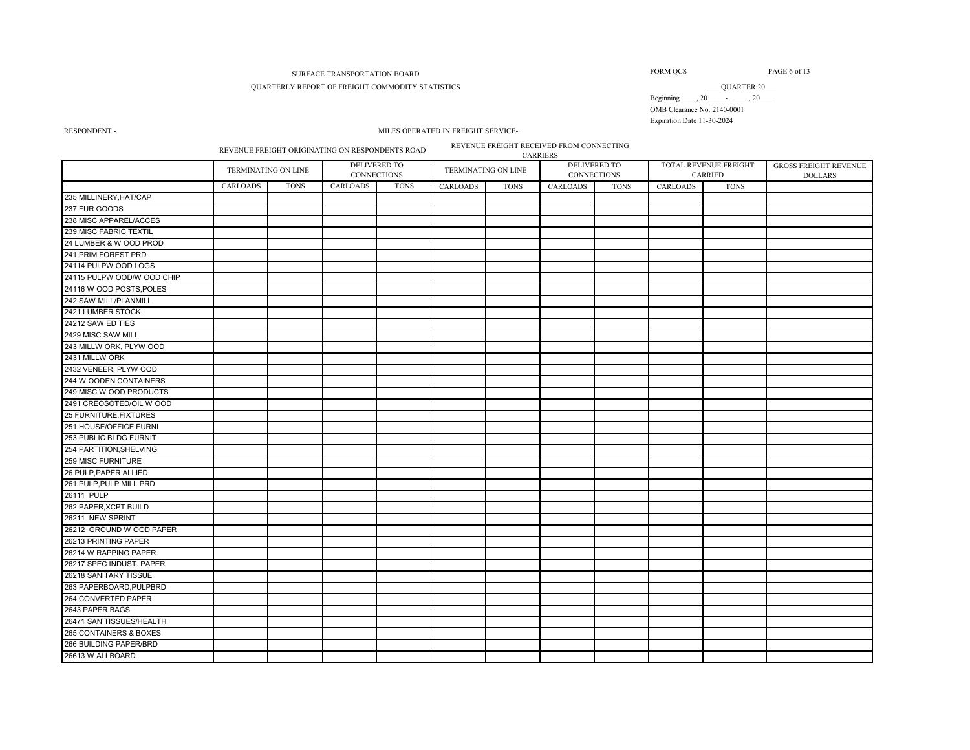#### QUARTERLY REPORT OF FREIGHT COMMODITY STATISTICS

FORM QCS PAGE 6 of 13

OMB Clearance No. 2140-0001 Beginning \_\_\_\_, 20\_\_\_\_\_- \_\_\_\_\_, 20\_\_\_\_ Expiration Date 11-30-2024

#### RESPONDENT - MILES OPERATED IN FREIGHT SERVICE-

REVENUE FREIGHT ORIGINATING ON RESPONDENTS ROAD REVENUE FREIGHT RECEIVED FROM CONNECTING

CARRIERS

|                            | <b>TERMINATING ON LINE</b> |             |          | DELIVERED TO       |                 | <b>TERMINATING ON LINE</b> |          | DELIVERED TO |          | TOTAL REVENUE FREIGHT | <b>GROSS FREIGHT REVENUE</b> |
|----------------------------|----------------------------|-------------|----------|--------------------|-----------------|----------------------------|----------|--------------|----------|-----------------------|------------------------------|
|                            |                            |             |          | <b>CONNECTIONS</b> |                 |                            |          | CONNECTIONS  |          | <b>CARRIED</b>        | <b>DOLLARS</b>               |
|                            | CARLOADS                   | <b>TONS</b> | CARLOADS | <b>TONS</b>        | <b>CARLOADS</b> | <b>TONS</b>                | CARLOADS | <b>TONS</b>  | CARLOADS | <b>TONS</b>           |                              |
| 235 MILLINERY, HAT/CAP     |                            |             |          |                    |                 |                            |          |              |          |                       |                              |
| 237 FUR GOODS              |                            |             |          |                    |                 |                            |          |              |          |                       |                              |
| 238 MISC APPAREL/ACCES     |                            |             |          |                    |                 |                            |          |              |          |                       |                              |
| 239 MISC FABRIC TEXTIL     |                            |             |          |                    |                 |                            |          |              |          |                       |                              |
| 24 LUMBER & W OOD PROD     |                            |             |          |                    |                 |                            |          |              |          |                       |                              |
| 241 PRIM FOREST PRD        |                            |             |          |                    |                 |                            |          |              |          |                       |                              |
| 24114 PULPW OOD LOGS       |                            |             |          |                    |                 |                            |          |              |          |                       |                              |
| 24115 PULPW OOD/W OOD CHIP |                            |             |          |                    |                 |                            |          |              |          |                       |                              |
| 24116 W OOD POSTS, POLES   |                            |             |          |                    |                 |                            |          |              |          |                       |                              |
| 242 SAW MILL/PLANMILL      |                            |             |          |                    |                 |                            |          |              |          |                       |                              |
| 2421 LUMBER STOCK          |                            |             |          |                    |                 |                            |          |              |          |                       |                              |
| 24212 SAW ED TIES          |                            |             |          |                    |                 |                            |          |              |          |                       |                              |
| 2429 MISC SAW MILL         |                            |             |          |                    |                 |                            |          |              |          |                       |                              |
| 243 MILLW ORK, PLYW OOD    |                            |             |          |                    |                 |                            |          |              |          |                       |                              |
| 2431 MILLW ORK             |                            |             |          |                    |                 |                            |          |              |          |                       |                              |
| 2432 VENEER, PLYW OOD      |                            |             |          |                    |                 |                            |          |              |          |                       |                              |
| 244 W OODEN CONTAINERS     |                            |             |          |                    |                 |                            |          |              |          |                       |                              |
| 249 MISC W OOD PRODUCTS    |                            |             |          |                    |                 |                            |          |              |          |                       |                              |
| 2491 CREOSOTED/OIL W OOD   |                            |             |          |                    |                 |                            |          |              |          |                       |                              |
| 25 FURNITURE, FIXTURES     |                            |             |          |                    |                 |                            |          |              |          |                       |                              |
| 251 HOUSE/OFFICE FURNI     |                            |             |          |                    |                 |                            |          |              |          |                       |                              |
| 253 PUBLIC BLDG FURNIT     |                            |             |          |                    |                 |                            |          |              |          |                       |                              |
| 254 PARTITION, SHELVING    |                            |             |          |                    |                 |                            |          |              |          |                       |                              |
| 259 MISC FURNITURE         |                            |             |          |                    |                 |                            |          |              |          |                       |                              |
| 26 PULP, PAPER ALLIED      |                            |             |          |                    |                 |                            |          |              |          |                       |                              |
| 261 PULP, PULP MILL PRD    |                            |             |          |                    |                 |                            |          |              |          |                       |                              |
| 26111 PULP                 |                            |             |          |                    |                 |                            |          |              |          |                       |                              |
| 262 PAPER, XCPT BUILD      |                            |             |          |                    |                 |                            |          |              |          |                       |                              |
| 26211 NEW SPRINT           |                            |             |          |                    |                 |                            |          |              |          |                       |                              |
| 26212 GROUND W OOD PAPER   |                            |             |          |                    |                 |                            |          |              |          |                       |                              |
| 26213 PRINTING PAPER       |                            |             |          |                    |                 |                            |          |              |          |                       |                              |
| 26214 W RAPPING PAPER      |                            |             |          |                    |                 |                            |          |              |          |                       |                              |
| 26217 SPEC INDUST. PAPER   |                            |             |          |                    |                 |                            |          |              |          |                       |                              |
| 26218 SANITARY TISSUE      |                            |             |          |                    |                 |                            |          |              |          |                       |                              |
| 263 PAPERBOARD, PULPBRD    |                            |             |          |                    |                 |                            |          |              |          |                       |                              |
| 264 CONVERTED PAPER        |                            |             |          |                    |                 |                            |          |              |          |                       |                              |
| 2643 PAPER BAGS            |                            |             |          |                    |                 |                            |          |              |          |                       |                              |
| 26471 SAN TISSUES/HEALTH   |                            |             |          |                    |                 |                            |          |              |          |                       |                              |
| 265 CONTAINERS & BOXES     |                            |             |          |                    |                 |                            |          |              |          |                       |                              |
| 266 BUILDING PAPER/BRD     |                            |             |          |                    |                 |                            |          |              |          |                       |                              |
| 26613 W ALLBOARD           |                            |             |          |                    |                 |                            |          |              |          |                       |                              |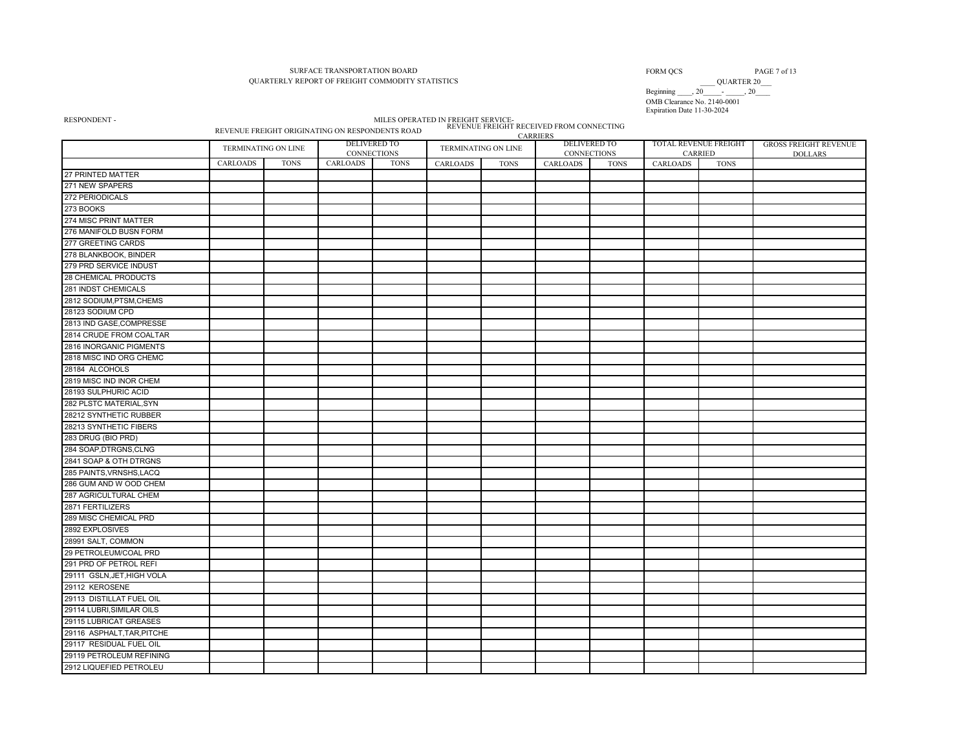#### SURFACE TRANSPORTATION BOARD QUARTERLY REPORT OF FREIGHT COMMODITY STATISTICS

## FORM QCS PAGE 7 of 13

OMB Clearance No. 2140-0001 Expiration Date 11-30-2024  $\frac{\text{QUARTER 20}}{\text{Beginning} \_\_\_2} \cdot \frac{20}{20} \cdot \frac{20}{20} \cdot \frac{20}{20}$ 

| RESPONDENT -                                     |                            |             | REVENUE FREIGHT ORIGINATING ON RESPONDENTS ROAD |                                           | MILES OPERATED IN FREIGHT SERVICE- |                            | REVENUE FREIGHT RECEIVED FROM CONNECTING |                                    |                 |                                         |                                                |
|--------------------------------------------------|----------------------------|-------------|-------------------------------------------------|-------------------------------------------|------------------------------------|----------------------------|------------------------------------------|------------------------------------|-----------------|-----------------------------------------|------------------------------------------------|
|                                                  | <b>TERMINATING ON LINE</b> |             |                                                 | <b>DELIVERED TO</b><br><b>CONNECTIONS</b> |                                    | <b>TERMINATING ON LINE</b> | <b>CARRIERS</b>                          | DELIVERED TO<br><b>CONNECTIONS</b> |                 | TOTAL REVENUE FREIGHT<br><b>CARRIED</b> | <b>GROSS FREIGHT REVENUE</b><br><b>DOLLARS</b> |
|                                                  | <b>CARLOADS</b>            | <b>TONS</b> | <b>CARLOADS</b>                                 | <b>TONS</b>                               | <b>CARLOADS</b>                    | <b>TONS</b>                | <b>CARLOADS</b>                          | <b>TONS</b>                        | <b>CARLOADS</b> | <b>TONS</b>                             |                                                |
| 27 PRINTED MATTER                                |                            |             |                                                 |                                           |                                    |                            |                                          |                                    |                 |                                         |                                                |
| 271 NEW SPAPERS                                  |                            |             |                                                 |                                           |                                    |                            |                                          |                                    |                 |                                         |                                                |
| 272 PERIODICALS                                  |                            |             |                                                 |                                           |                                    |                            |                                          |                                    |                 |                                         |                                                |
| 273 BOOKS                                        |                            |             |                                                 |                                           |                                    |                            |                                          |                                    |                 |                                         |                                                |
| 274 MISC PRINT MATTER                            |                            |             |                                                 |                                           |                                    |                            |                                          |                                    |                 |                                         |                                                |
| 276 MANIFOLD BUSN FORM                           |                            |             |                                                 |                                           |                                    |                            |                                          |                                    |                 |                                         |                                                |
| 277 GREETING CARDS                               |                            |             |                                                 |                                           |                                    |                            |                                          |                                    |                 |                                         |                                                |
| 278 BLANKBOOK, BINDER                            |                            |             |                                                 |                                           |                                    |                            |                                          |                                    |                 |                                         |                                                |
| 279 PRD SERVICE INDUST                           |                            |             |                                                 |                                           |                                    |                            |                                          |                                    |                 |                                         |                                                |
| 28 CHEMICAL PRODUCTS                             |                            |             |                                                 |                                           |                                    |                            |                                          |                                    |                 |                                         |                                                |
| 281 INDST CHEMICALS                              |                            |             |                                                 |                                           |                                    |                            |                                          |                                    |                 |                                         |                                                |
| 2812 SODIUM, PTSM, CHEMS                         |                            |             |                                                 |                                           |                                    |                            |                                          |                                    |                 |                                         |                                                |
| 28123 SODIUM CPD                                 |                            |             |                                                 |                                           |                                    |                            |                                          |                                    |                 |                                         |                                                |
| 2813 IND GASE, COMPRESSE                         |                            |             |                                                 |                                           |                                    |                            |                                          |                                    |                 |                                         |                                                |
| 2814 CRUDE FROM COALTAR                          |                            |             |                                                 |                                           |                                    |                            |                                          |                                    |                 |                                         |                                                |
| 2816 INORGANIC PIGMENTS                          |                            |             |                                                 |                                           |                                    |                            |                                          |                                    |                 |                                         |                                                |
| 2818 MISC IND ORG CHEMC                          |                            |             |                                                 |                                           |                                    |                            |                                          |                                    |                 |                                         |                                                |
| 28184 ALCOHOLS                                   |                            |             |                                                 |                                           |                                    |                            |                                          |                                    |                 |                                         |                                                |
| 2819 MISC IND INOR CHEM                          |                            |             |                                                 |                                           |                                    |                            |                                          |                                    |                 |                                         |                                                |
| 28193 SULPHURIC ACID                             |                            |             |                                                 |                                           |                                    |                            |                                          |                                    |                 |                                         |                                                |
| 282 PLSTC MATERIAL, SYN                          |                            |             |                                                 |                                           |                                    |                            |                                          |                                    |                 |                                         |                                                |
|                                                  |                            |             |                                                 |                                           |                                    |                            |                                          |                                    |                 |                                         |                                                |
| 28212 SYNTHETIC RUBBER<br>28213 SYNTHETIC FIBERS |                            |             |                                                 |                                           |                                    |                            |                                          |                                    |                 |                                         |                                                |
| 283 DRUG (BIO PRD)                               |                            |             |                                                 |                                           |                                    |                            |                                          |                                    |                 |                                         |                                                |
|                                                  |                            |             |                                                 |                                           |                                    |                            |                                          |                                    |                 |                                         |                                                |
| 284 SOAP, DTRGNS, CLNG                           |                            |             |                                                 |                                           |                                    |                            |                                          |                                    |                 |                                         |                                                |
| 2841 SOAP & OTH DTRGNS                           |                            |             |                                                 |                                           |                                    |                            |                                          |                                    |                 |                                         |                                                |
| 285 PAINTS, VRNSHS, LACQ                         |                            |             |                                                 |                                           |                                    |                            |                                          |                                    |                 |                                         |                                                |
| 286 GUM AND W OOD CHEM                           |                            |             |                                                 |                                           |                                    |                            |                                          |                                    |                 |                                         |                                                |
| 287 AGRICULTURAL CHEM                            |                            |             |                                                 |                                           |                                    |                            |                                          |                                    |                 |                                         |                                                |
| 2871 FERTILIZERS                                 |                            |             |                                                 |                                           |                                    |                            |                                          |                                    |                 |                                         |                                                |
| 289 MISC CHEMICAL PRD                            |                            |             |                                                 |                                           |                                    |                            |                                          |                                    |                 |                                         |                                                |
| 2892 EXPLOSIVES                                  |                            |             |                                                 |                                           |                                    |                            |                                          |                                    |                 |                                         |                                                |
| 28991 SALT, COMMON                               |                            |             |                                                 |                                           |                                    |                            |                                          |                                    |                 |                                         |                                                |
| 29 PETROLEUM/COAL PRD                            |                            |             |                                                 |                                           |                                    |                            |                                          |                                    |                 |                                         |                                                |
| 291 PRD OF PETROL REFI                           |                            |             |                                                 |                                           |                                    |                            |                                          |                                    |                 |                                         |                                                |
| 29111 GSLN, JET, HIGH VOLA                       |                            |             |                                                 |                                           |                                    |                            |                                          |                                    |                 |                                         |                                                |
| 29112 KEROSENE                                   |                            |             |                                                 |                                           |                                    |                            |                                          |                                    |                 |                                         |                                                |
| 29113 DISTILLAT FUEL OIL                         |                            |             |                                                 |                                           |                                    |                            |                                          |                                    |                 |                                         |                                                |
| 29114 LUBRI, SIMILAR OILS                        |                            |             |                                                 |                                           |                                    |                            |                                          |                                    |                 |                                         |                                                |
| 29115 LUBRICAT GREASES                           |                            |             |                                                 |                                           |                                    |                            |                                          |                                    |                 |                                         |                                                |
| 29116 ASPHALT, TAR, PITCHE                       |                            |             |                                                 |                                           |                                    |                            |                                          |                                    |                 |                                         |                                                |
| 29117 RESIDUAL FUEL OIL                          |                            |             |                                                 |                                           |                                    |                            |                                          |                                    |                 |                                         |                                                |
| 29119 PETROLEUM REFINING                         |                            |             |                                                 |                                           |                                    |                            |                                          |                                    |                 |                                         |                                                |
| 2912 LIQUEFIED PETROLEU                          |                            |             |                                                 |                                           |                                    |                            |                                          |                                    |                 |                                         |                                                |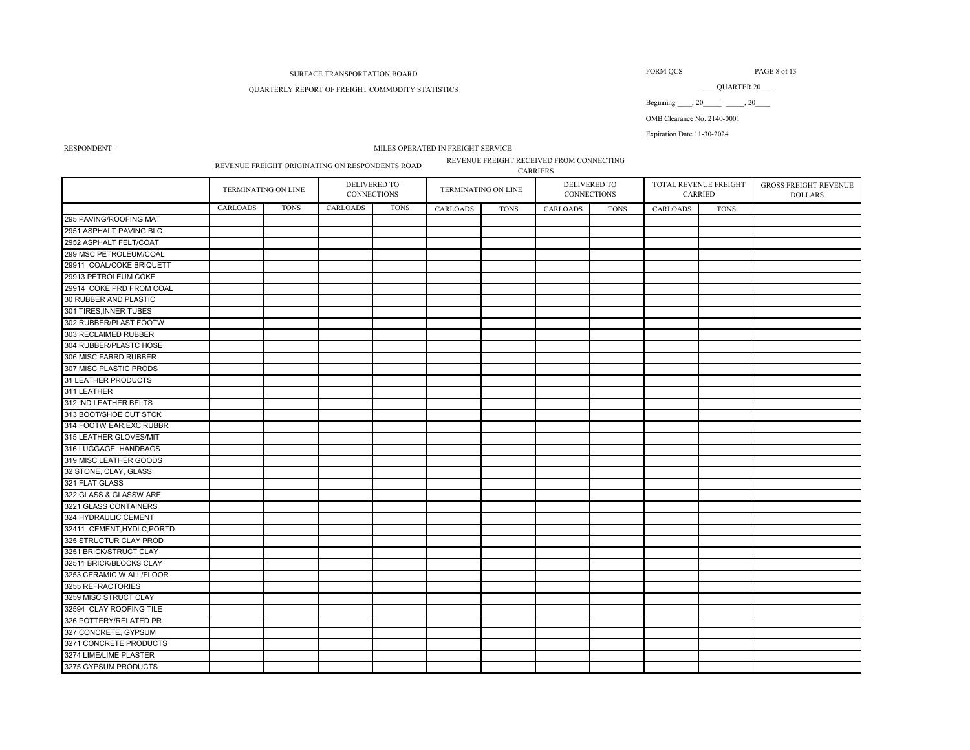# QUARTERLY REPORT OF FREIGHT COMMODITY STATISTICS \_\_\_\_ QUARTER 20\_\_\_

FORM QCS PAGE 8 of 13

Beginning \_\_\_\_, 20\_\_\_\_\_\_\_\_\_\_, 20\_\_\_\_\_

OMB Clearance No. 2140-0001

Expiration Date 11-30-2024

#### RESPONDENT - MILES OPERATED IN FREIGHT SERVICE-

#### REVENUE FREIGHT ORIGINATING ON RESPONDENTS ROAD REVENUE FREIGHT RECEIVED FROM CONNECTING CARRIERS

|                            |                     |             |                 |                                    | $\alpha$ number |                            |                 |                                    |                 |                                  |                                                |
|----------------------------|---------------------|-------------|-----------------|------------------------------------|-----------------|----------------------------|-----------------|------------------------------------|-----------------|----------------------------------|------------------------------------------------|
|                            | TERMINATING ON LINE |             |                 | DELIVERED TO<br><b>CONNECTIONS</b> |                 | <b>TERMINATING ON LINE</b> |                 | DELIVERED TO<br><b>CONNECTIONS</b> |                 | TOTAL REVENUE FREIGHT<br>CARRIED | <b>GROSS FREIGHT REVENUE</b><br><b>DOLLARS</b> |
|                            | <b>CARLOADS</b>     | <b>TONS</b> | <b>CARLOADS</b> | <b>TONS</b>                        | <b>CARLOADS</b> | <b>TONS</b>                | <b>CARLOADS</b> | <b>TONS</b>                        | <b>CARLOADS</b> | <b>TONS</b>                      |                                                |
| 295 PAVING/ROOFING MAT     |                     |             |                 |                                    |                 |                            |                 |                                    |                 |                                  |                                                |
| 2951 ASPHALT PAVING BLC    |                     |             |                 |                                    |                 |                            |                 |                                    |                 |                                  |                                                |
| 2952 ASPHALT FELT/COAT     |                     |             |                 |                                    |                 |                            |                 |                                    |                 |                                  |                                                |
| 299 MSC PETROLEUM/COAL     |                     |             |                 |                                    |                 |                            |                 |                                    |                 |                                  |                                                |
| 29911 COAL/COKE BRIQUETT   |                     |             |                 |                                    |                 |                            |                 |                                    |                 |                                  |                                                |
| 29913 PETROLEUM COKE       |                     |             |                 |                                    |                 |                            |                 |                                    |                 |                                  |                                                |
| 29914 COKE PRD FROM COAL   |                     |             |                 |                                    |                 |                            |                 |                                    |                 |                                  |                                                |
| 30 RUBBER AND PLASTIC      |                     |             |                 |                                    |                 |                            |                 |                                    |                 |                                  |                                                |
| 301 TIRES, INNER TUBES     |                     |             |                 |                                    |                 |                            |                 |                                    |                 |                                  |                                                |
| 302 RUBBER/PLAST FOOTW     |                     |             |                 |                                    |                 |                            |                 |                                    |                 |                                  |                                                |
| 303 RECLAIMED RUBBER       |                     |             |                 |                                    |                 |                            |                 |                                    |                 |                                  |                                                |
| 304 RUBBER/PLASTC HOSE     |                     |             |                 |                                    |                 |                            |                 |                                    |                 |                                  |                                                |
| 306 MISC FABRD RUBBER      |                     |             |                 |                                    |                 |                            |                 |                                    |                 |                                  |                                                |
| 307 MISC PLASTIC PRODS     |                     |             |                 |                                    |                 |                            |                 |                                    |                 |                                  |                                                |
| 31 LEATHER PRODUCTS        |                     |             |                 |                                    |                 |                            |                 |                                    |                 |                                  |                                                |
| 311 LEATHER                |                     |             |                 |                                    |                 |                            |                 |                                    |                 |                                  |                                                |
| 312 IND LEATHER BELTS      |                     |             |                 |                                    |                 |                            |                 |                                    |                 |                                  |                                                |
| 313 BOOT/SHOE CUT STCK     |                     |             |                 |                                    |                 |                            |                 |                                    |                 |                                  |                                                |
| 314 FOOTW EAR, EXC RUBBR   |                     |             |                 |                                    |                 |                            |                 |                                    |                 |                                  |                                                |
| 315 LEATHER GLOVES/MIT     |                     |             |                 |                                    |                 |                            |                 |                                    |                 |                                  |                                                |
| 316 LUGGAGE, HANDBAGS      |                     |             |                 |                                    |                 |                            |                 |                                    |                 |                                  |                                                |
| 319 MISC LEATHER GOODS     |                     |             |                 |                                    |                 |                            |                 |                                    |                 |                                  |                                                |
| 32 STONE, CLAY, GLASS      |                     |             |                 |                                    |                 |                            |                 |                                    |                 |                                  |                                                |
| 321 FLAT GLASS             |                     |             |                 |                                    |                 |                            |                 |                                    |                 |                                  |                                                |
| 322 GLASS & GLASSW ARE     |                     |             |                 |                                    |                 |                            |                 |                                    |                 |                                  |                                                |
| 3221 GLASS CONTAINERS      |                     |             |                 |                                    |                 |                            |                 |                                    |                 |                                  |                                                |
| 324 HYDRAULIC CEMENT       |                     |             |                 |                                    |                 |                            |                 |                                    |                 |                                  |                                                |
| 32411 CEMENT, HYDLC, PORTD |                     |             |                 |                                    |                 |                            |                 |                                    |                 |                                  |                                                |
| 325 STRUCTUR CLAY PROD     |                     |             |                 |                                    |                 |                            |                 |                                    |                 |                                  |                                                |
| 3251 BRICK/STRUCT CLAY     |                     |             |                 |                                    |                 |                            |                 |                                    |                 |                                  |                                                |
| 32511 BRICK/BLOCKS CLAY    |                     |             |                 |                                    |                 |                            |                 |                                    |                 |                                  |                                                |
| 3253 CERAMIC W ALL/FLOOR   |                     |             |                 |                                    |                 |                            |                 |                                    |                 |                                  |                                                |
| 3255 REFRACTORIES          |                     |             |                 |                                    |                 |                            |                 |                                    |                 |                                  |                                                |
| 3259 MISC STRUCT CLAY      |                     |             |                 |                                    |                 |                            |                 |                                    |                 |                                  |                                                |
| 32594 CLAY ROOFING TILE    |                     |             |                 |                                    |                 |                            |                 |                                    |                 |                                  |                                                |
| 326 POTTERY/RELATED PR     |                     |             |                 |                                    |                 |                            |                 |                                    |                 |                                  |                                                |
| 327 CONCRETE, GYPSUM       |                     |             |                 |                                    |                 |                            |                 |                                    |                 |                                  |                                                |
| 3271 CONCRETE PRODUCTS     |                     |             |                 |                                    |                 |                            |                 |                                    |                 |                                  |                                                |
| 3274 LIME/LIME PLASTER     |                     |             |                 |                                    |                 |                            |                 |                                    |                 |                                  |                                                |
| 3275 GYPSUM PRODUCTS       |                     |             |                 |                                    |                 |                            |                 |                                    |                 |                                  |                                                |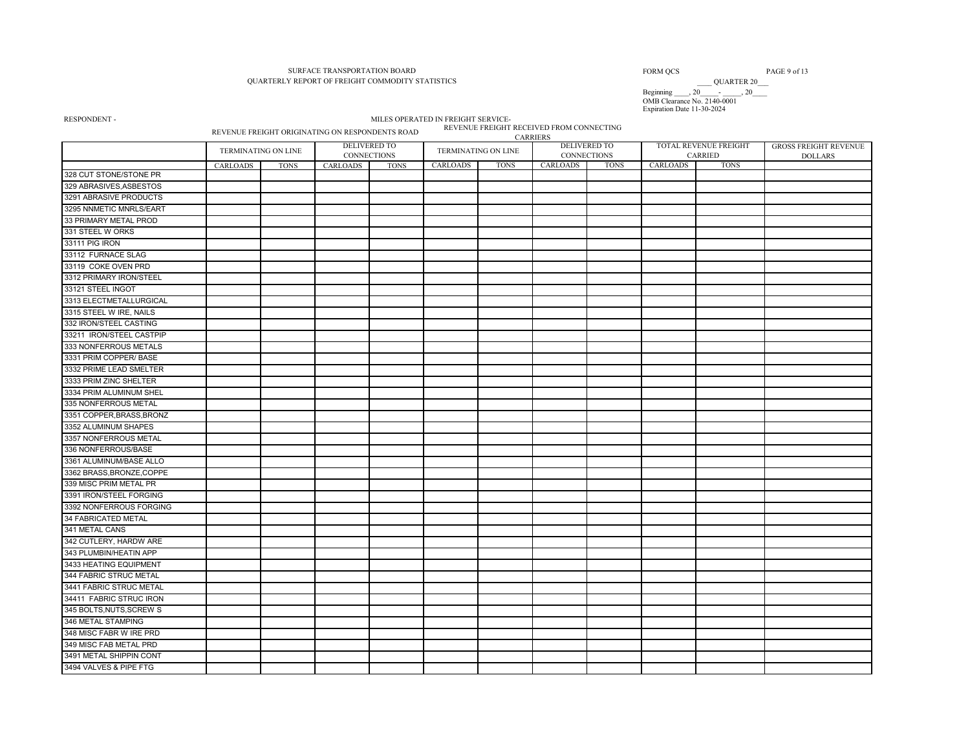#### SURFACE TRANSPORTATION BOARD QUARTERLY REPORT OF FREIGHT COMMODITY STATISTICS

#### FORM QCS PAGE 9 of 13

Beginning \_\_\_\_, 20 \_\_\_\_\_\_\_\_\_, 20 \_\_\_\_\_<br>OMB Clearance No. 2140-0001 Expiration Date 11-30-2024

RESPONDENT - MILES OPERATED IN FREIGHT SERVICE-<br>REVENUE FREIGHT RECEIVED FROM CONNECTING REVENUE FREIGHT ORIGINATING ON RESPONDENTS ROAD  $\,$ **CARRIERS** 

|                           |          | <b>TERMINATING ON LINE</b> |                 | DELIVERED TO<br><b>CONNECTIONS</b> |                 | <b>TERMINATING ON LINE</b> |          | DELIVERED TO<br><b>CONNECTIONS</b> |          | TOTAL REVENUE FREIGHT<br>CARRIED | <b>GROSS FREIGHT REVENUE</b><br>DOLLARS |
|---------------------------|----------|----------------------------|-----------------|------------------------------------|-----------------|----------------------------|----------|------------------------------------|----------|----------------------------------|-----------------------------------------|
|                           | CARLOADS | <b>TONS</b>                | <b>CARLOADS</b> | <b>TONS</b>                        | <b>CARLOADS</b> | <b>TONS</b>                | CARLOADS | <b>TONS</b>                        | CARLOADS | <b>TONS</b>                      |                                         |
| 328 CUT STONE/STONE PR    |          |                            |                 |                                    |                 |                            |          |                                    |          |                                  |                                         |
| 329 ABRASIVES, ASBESTOS   |          |                            |                 |                                    |                 |                            |          |                                    |          |                                  |                                         |
| 3291 ABRASIVE PRODUCTS    |          |                            |                 |                                    |                 |                            |          |                                    |          |                                  |                                         |
| 3295 NNMETIC MNRLS/EART   |          |                            |                 |                                    |                 |                            |          |                                    |          |                                  |                                         |
| 33 PRIMARY METAL PROD     |          |                            |                 |                                    |                 |                            |          |                                    |          |                                  |                                         |
| 331 STEEL W ORKS          |          |                            |                 |                                    |                 |                            |          |                                    |          |                                  |                                         |
| 33111 PIG IRON            |          |                            |                 |                                    |                 |                            |          |                                    |          |                                  |                                         |
| 33112 FURNACE SLAG        |          |                            |                 |                                    |                 |                            |          |                                    |          |                                  |                                         |
| 33119 COKE OVEN PRD       |          |                            |                 |                                    |                 |                            |          |                                    |          |                                  |                                         |
| 3312 PRIMARY IRON/STEEL   |          |                            |                 |                                    |                 |                            |          |                                    |          |                                  |                                         |
| 33121 STEEL INGOT         |          |                            |                 |                                    |                 |                            |          |                                    |          |                                  |                                         |
| 3313 ELECTMETALLURGICAL   |          |                            |                 |                                    |                 |                            |          |                                    |          |                                  |                                         |
| 3315 STEEL W IRE, NAILS   |          |                            |                 |                                    |                 |                            |          |                                    |          |                                  |                                         |
| 332 IRON/STEEL CASTING    |          |                            |                 |                                    |                 |                            |          |                                    |          |                                  |                                         |
| 33211 IRON/STEEL CASTPIP  |          |                            |                 |                                    |                 |                            |          |                                    |          |                                  |                                         |
| 333 NONFERROUS METALS     |          |                            |                 |                                    |                 |                            |          |                                    |          |                                  |                                         |
| 3331 PRIM COPPER/ BASE    |          |                            |                 |                                    |                 |                            |          |                                    |          |                                  |                                         |
| 3332 PRIME LEAD SMELTER   |          |                            |                 |                                    |                 |                            |          |                                    |          |                                  |                                         |
| 3333 PRIM ZINC SHELTER    |          |                            |                 |                                    |                 |                            |          |                                    |          |                                  |                                         |
| 3334 PRIM ALUMINUM SHEL   |          |                            |                 |                                    |                 |                            |          |                                    |          |                                  |                                         |
| 335 NONFERROUS METAL      |          |                            |                 |                                    |                 |                            |          |                                    |          |                                  |                                         |
| 3351 COPPER, BRASS, BRONZ |          |                            |                 |                                    |                 |                            |          |                                    |          |                                  |                                         |
| 3352 ALUMINUM SHAPES      |          |                            |                 |                                    |                 |                            |          |                                    |          |                                  |                                         |
| 3357 NONFERROUS METAL     |          |                            |                 |                                    |                 |                            |          |                                    |          |                                  |                                         |
| 336 NONFERROUS/BASE       |          |                            |                 |                                    |                 |                            |          |                                    |          |                                  |                                         |
| 3361 ALUMINUM/BASE ALLO   |          |                            |                 |                                    |                 |                            |          |                                    |          |                                  |                                         |
| 3362 BRASS, BRONZE, COPPE |          |                            |                 |                                    |                 |                            |          |                                    |          |                                  |                                         |
| 339 MISC PRIM METAL PR    |          |                            |                 |                                    |                 |                            |          |                                    |          |                                  |                                         |
| 3391 IRON/STEEL FORGING   |          |                            |                 |                                    |                 |                            |          |                                    |          |                                  |                                         |
| 3392 NONFERROUS FORGING   |          |                            |                 |                                    |                 |                            |          |                                    |          |                                  |                                         |
| 34 FABRICATED METAL       |          |                            |                 |                                    |                 |                            |          |                                    |          |                                  |                                         |
| 341 METAL CANS            |          |                            |                 |                                    |                 |                            |          |                                    |          |                                  |                                         |
| 342 CUTLERY, HARDW ARE    |          |                            |                 |                                    |                 |                            |          |                                    |          |                                  |                                         |
| 343 PLUMBIN/HEATIN APP    |          |                            |                 |                                    |                 |                            |          |                                    |          |                                  |                                         |
| 3433 HEATING EQUIPMENT    |          |                            |                 |                                    |                 |                            |          |                                    |          |                                  |                                         |
| 344 FABRIC STRUC METAL    |          |                            |                 |                                    |                 |                            |          |                                    |          |                                  |                                         |
| 3441 FABRIC STRUC METAL   |          |                            |                 |                                    |                 |                            |          |                                    |          |                                  |                                         |
| 34411 FABRIC STRUC IRON   |          |                            |                 |                                    |                 |                            |          |                                    |          |                                  |                                         |
| 345 BOLTS, NUTS, SCREW S  |          |                            |                 |                                    |                 |                            |          |                                    |          |                                  |                                         |
| 346 METAL STAMPING        |          |                            |                 |                                    |                 |                            |          |                                    |          |                                  |                                         |
| 348 MISC FABR W IRE PRD   |          |                            |                 |                                    |                 |                            |          |                                    |          |                                  |                                         |
| 349 MISC FAB METAL PRD    |          |                            |                 |                                    |                 |                            |          |                                    |          |                                  |                                         |
| 3491 METAL SHIPPIN CONT   |          |                            |                 |                                    |                 |                            |          |                                    |          |                                  |                                         |
| 3494 VALVES & PIPE FTG    |          |                            |                 |                                    |                 |                            |          |                                    |          |                                  |                                         |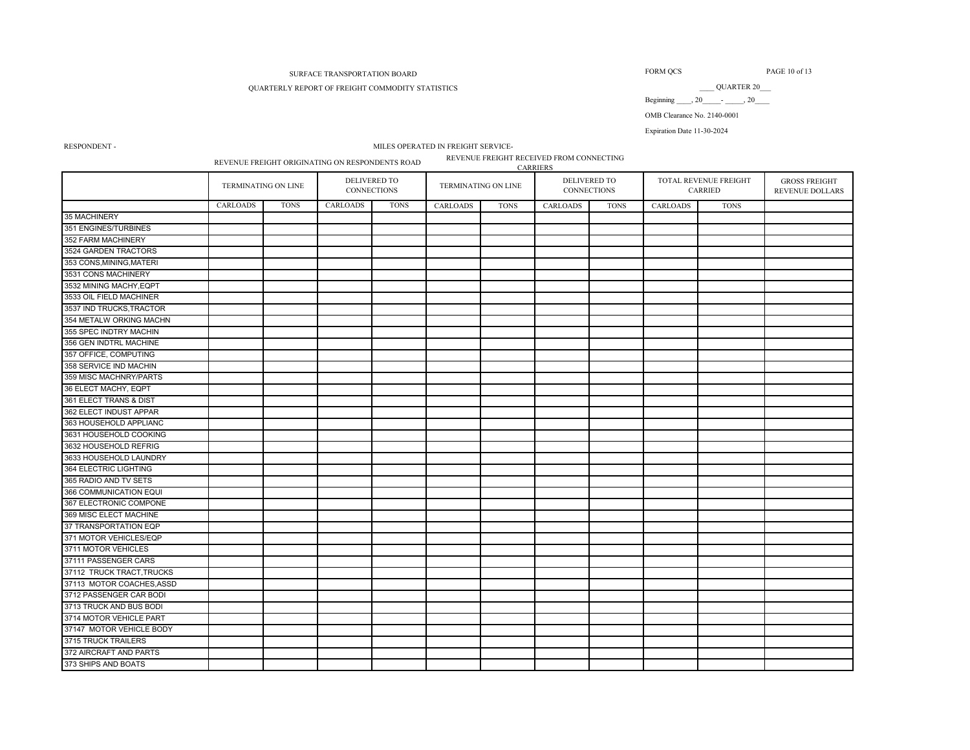# QUARTERLY REPORT OF FREIGHT COMMODITY STATISTICS \_\_\_\_ QUARTER 20\_\_\_

FORM QCS PAGE 10 of 13

Beginning \_\_\_\_, 20\_\_\_\_\_\_\_\_\_, 20\_\_\_\_\_

OMB Clearance No. 2140-0001

Expiration Date 11-30-2024

#### RESPONDENT - MILES OPERATED IN FREIGHT SERVICE-

REVENUE FREIGHT ORIGINATING ON RESPONDENTS ROAD REVENUE FREIGHT RECEIVED FROM CONNECTING CARRIERS

|                           |                 |                     |          |                             |          |                            |                 | CANALINO                    |                 |                                  |                                                |
|---------------------------|-----------------|---------------------|----------|-----------------------------|----------|----------------------------|-----------------|-----------------------------|-----------------|----------------------------------|------------------------------------------------|
|                           |                 | TERMINATING ON LINE |          | DELIVERED TO<br>CONNECTIONS |          | <b>TERMINATING ON LINE</b> |                 | DELIVERED TO<br>CONNECTIONS |                 | TOTAL REVENUE FREIGHT<br>CARRIED | <b>GROSS FREIGHT</b><br><b>REVENUE DOLLARS</b> |
|                           | <b>CARLOADS</b> | <b>TONS</b>         | CARLOADS | <b>TONS</b>                 | CARLOADS | <b>TONS</b>                | <b>CARLOADS</b> | <b>TONS</b>                 | <b>CARLOADS</b> | <b>TONS</b>                      |                                                |
| 35 MACHINERY              |                 |                     |          |                             |          |                            |                 |                             |                 |                                  |                                                |
| 351 ENGINES/TURBINES      |                 |                     |          |                             |          |                            |                 |                             |                 |                                  |                                                |
| 352 FARM MACHINERY        |                 |                     |          |                             |          |                            |                 |                             |                 |                                  |                                                |
| 3524 GARDEN TRACTORS      |                 |                     |          |                             |          |                            |                 |                             |                 |                                  |                                                |
| 353 CONS, MINING, MATERI  |                 |                     |          |                             |          |                            |                 |                             |                 |                                  |                                                |
| 3531 CONS MACHINERY       |                 |                     |          |                             |          |                            |                 |                             |                 |                                  |                                                |
| 3532 MINING MACHY, EQPT   |                 |                     |          |                             |          |                            |                 |                             |                 |                                  |                                                |
| 3533 OIL FIELD MACHINER   |                 |                     |          |                             |          |                            |                 |                             |                 |                                  |                                                |
| 3537 IND TRUCKS, TRACTOR  |                 |                     |          |                             |          |                            |                 |                             |                 |                                  |                                                |
| 354 METALW ORKING MACHN   |                 |                     |          |                             |          |                            |                 |                             |                 |                                  |                                                |
| 355 SPEC INDTRY MACHIN    |                 |                     |          |                             |          |                            |                 |                             |                 |                                  |                                                |
| 356 GEN INDTRL MACHINE    |                 |                     |          |                             |          |                            |                 |                             |                 |                                  |                                                |
| 357 OFFICE, COMPUTING     |                 |                     |          |                             |          |                            |                 |                             |                 |                                  |                                                |
| 358 SERVICE IND MACHIN    |                 |                     |          |                             |          |                            |                 |                             |                 |                                  |                                                |
| 359 MISC MACHNRY/PARTS    |                 |                     |          |                             |          |                            |                 |                             |                 |                                  |                                                |
| 36 ELECT MACHY, EQPT      |                 |                     |          |                             |          |                            |                 |                             |                 |                                  |                                                |
| 361 ELECT TRANS & DIST    |                 |                     |          |                             |          |                            |                 |                             |                 |                                  |                                                |
| 362 ELECT INDUST APPAR    |                 |                     |          |                             |          |                            |                 |                             |                 |                                  |                                                |
| 363 HOUSEHOLD APPLIANC    |                 |                     |          |                             |          |                            |                 |                             |                 |                                  |                                                |
| 3631 HOUSEHOLD COOKING    |                 |                     |          |                             |          |                            |                 |                             |                 |                                  |                                                |
| 3632 HOUSEHOLD REFRIG     |                 |                     |          |                             |          |                            |                 |                             |                 |                                  |                                                |
| 3633 HOUSEHOLD LAUNDRY    |                 |                     |          |                             |          |                            |                 |                             |                 |                                  |                                                |
| 364 ELECTRIC LIGHTING     |                 |                     |          |                             |          |                            |                 |                             |                 |                                  |                                                |
| 365 RADIO AND TV SETS     |                 |                     |          |                             |          |                            |                 |                             |                 |                                  |                                                |
| 366 COMMUNICATION EQUI    |                 |                     |          |                             |          |                            |                 |                             |                 |                                  |                                                |
| 367 ELECTRONIC COMPONE    |                 |                     |          |                             |          |                            |                 |                             |                 |                                  |                                                |
| 369 MISC ELECT MACHINE    |                 |                     |          |                             |          |                            |                 |                             |                 |                                  |                                                |
| 37 TRANSPORTATION EQP     |                 |                     |          |                             |          |                            |                 |                             |                 |                                  |                                                |
| 371 MOTOR VEHICLES/EQP    |                 |                     |          |                             |          |                            |                 |                             |                 |                                  |                                                |
| 3711 MOTOR VEHICLES       |                 |                     |          |                             |          |                            |                 |                             |                 |                                  |                                                |
| 37111 PASSENGER CARS      |                 |                     |          |                             |          |                            |                 |                             |                 |                                  |                                                |
| 37112 TRUCK TRACT, TRUCKS |                 |                     |          |                             |          |                            |                 |                             |                 |                                  |                                                |
| 37113 MOTOR COACHES, ASSD |                 |                     |          |                             |          |                            |                 |                             |                 |                                  |                                                |
| 3712 PASSENGER CAR BODI   |                 |                     |          |                             |          |                            |                 |                             |                 |                                  |                                                |
| 3713 TRUCK AND BUS BODI   |                 |                     |          |                             |          |                            |                 |                             |                 |                                  |                                                |
| 3714 MOTOR VEHICLE PART   |                 |                     |          |                             |          |                            |                 |                             |                 |                                  |                                                |
| 37147 MOTOR VEHICLE BODY  |                 |                     |          |                             |          |                            |                 |                             |                 |                                  |                                                |
| 3715 TRUCK TRAILERS       |                 |                     |          |                             |          |                            |                 |                             |                 |                                  |                                                |
| 372 AIRCRAFT AND PARTS    |                 |                     |          |                             |          |                            |                 |                             |                 |                                  |                                                |
| 373 SHIPS AND BOATS       |                 |                     |          |                             |          |                            |                 |                             |                 |                                  |                                                |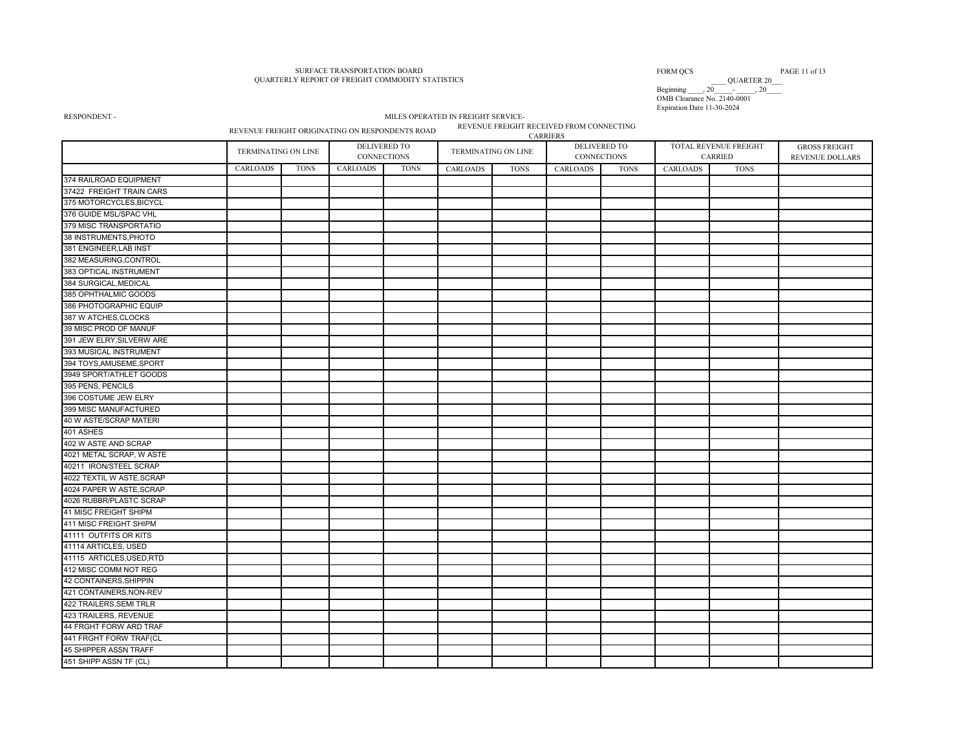# SURFACE TRANSPORTATION BOARD QUARTERLY REPORT OF FREIGHT COMMODITY STATISTICS \_\_\_\_ QUARTER 20\_\_\_

#### FORM QCS PAGE 11 of 13

Beginning \_\_\_\_, 20 \_\_\_\_\_\_\_\_\_, 20 \_\_\_\_\_\_<br>OMB Clearance No. 2140-0001 Expiration Date 11-30-2024

RESPONDENT - MILES OPERATED IN FREIGHT SERVICE-<br>PEVENUE EREIGHT SERVENUE FREIGHT RECEIVED FROM CONNECTING REVENUE FREIGHT ORIGINATING ON RESPONDENTS ROAD CARRIERS

|                                | TERMINATING ON LINE |             |                 | DELIVERED TO<br><b>CONNECTIONS</b> |                 | TERMINATING ON LINE |                 | DELIVERED TO<br><b>CONNECTIONS</b> |                 | TOTAL REVENUE FREIGHT<br>CARRIED | <b>GROSS FREIGHT</b><br><b>REVENUE DOLLARS</b> |
|--------------------------------|---------------------|-------------|-----------------|------------------------------------|-----------------|---------------------|-----------------|------------------------------------|-----------------|----------------------------------|------------------------------------------------|
|                                | CARLOADS            | <b>TONS</b> | <b>CARLOADS</b> | <b>TONS</b>                        | <b>CARLOADS</b> | <b>TONS</b>         | <b>CARLOADS</b> | <b>TONS</b>                        | <b>CARLOADS</b> | <b>TONS</b>                      |                                                |
| 374 RAILROAD EQUIPMENT         |                     |             |                 |                                    |                 |                     |                 |                                    |                 |                                  |                                                |
| 37422 FREIGHT TRAIN CARS       |                     |             |                 |                                    |                 |                     |                 |                                    |                 |                                  |                                                |
| 375 MOTORCYCLES, BICYCL        |                     |             |                 |                                    |                 |                     |                 |                                    |                 |                                  |                                                |
| 376 GUIDE MSL/SPAC VHL         |                     |             |                 |                                    |                 |                     |                 |                                    |                 |                                  |                                                |
| 379 MISC TRANSPORTATIO         |                     |             |                 |                                    |                 |                     |                 |                                    |                 |                                  |                                                |
| 38 INSTRUMENTS, PHOTO          |                     |             |                 |                                    |                 |                     |                 |                                    |                 |                                  |                                                |
| 381 ENGINEER, LAB INST         |                     |             |                 |                                    |                 |                     |                 |                                    |                 |                                  |                                                |
| 382 MEASURING, CONTROL         |                     |             |                 |                                    |                 |                     |                 |                                    |                 |                                  |                                                |
| 383 OPTICAL INSTRUMENT         |                     |             |                 |                                    |                 |                     |                 |                                    |                 |                                  |                                                |
| 384 SURGICAL, MEDICAL          |                     |             |                 |                                    |                 |                     |                 |                                    |                 |                                  |                                                |
| 385 OPHTHALMIC GOODS           |                     |             |                 |                                    |                 |                     |                 |                                    |                 |                                  |                                                |
| 386 PHOTOGRAPHIC EQUIP         |                     |             |                 |                                    |                 |                     |                 |                                    |                 |                                  |                                                |
| 387 W ATCHES, CLOCKS           |                     |             |                 |                                    |                 |                     |                 |                                    |                 |                                  |                                                |
| 39 MISC PROD OF MANUF          |                     |             |                 |                                    |                 |                     |                 |                                    |                 |                                  |                                                |
| 391 JEW ELRY, SILVERW ARE      |                     |             |                 |                                    |                 |                     |                 |                                    |                 |                                  |                                                |
| 393 MUSICAL INSTRUMENT         |                     |             |                 |                                    |                 |                     |                 |                                    |                 |                                  |                                                |
| 394 TOYS, AMUSEME, SPORT       |                     |             |                 |                                    |                 |                     |                 |                                    |                 |                                  |                                                |
| 3949 SPORT/ATHLET GOODS        |                     |             |                 |                                    |                 |                     |                 |                                    |                 |                                  |                                                |
| 395 PENS, PENCILS              |                     |             |                 |                                    |                 |                     |                 |                                    |                 |                                  |                                                |
| 396 COSTUME JEW ELRY           |                     |             |                 |                                    |                 |                     |                 |                                    |                 |                                  |                                                |
| 399 MISC MANUFACTURED          |                     |             |                 |                                    |                 |                     |                 |                                    |                 |                                  |                                                |
| 40 W ASTE/SCRAP MATERI         |                     |             |                 |                                    |                 |                     |                 |                                    |                 |                                  |                                                |
| 401 ASHES                      |                     |             |                 |                                    |                 |                     |                 |                                    |                 |                                  |                                                |
| 402 W ASTE AND SCRAP           |                     |             |                 |                                    |                 |                     |                 |                                    |                 |                                  |                                                |
| 4021 METAL SCRAP, W ASTE       |                     |             |                 |                                    |                 |                     |                 |                                    |                 |                                  |                                                |
| 40211 IRON/STEEL SCRAP         |                     |             |                 |                                    |                 |                     |                 |                                    |                 |                                  |                                                |
| 4022 TEXTIL W ASTE, SCRAP      |                     |             |                 |                                    |                 |                     |                 |                                    |                 |                                  |                                                |
| 4024 PAPER W ASTE, SCRAP       |                     |             |                 |                                    |                 |                     |                 |                                    |                 |                                  |                                                |
| 4026 RUBBR/PLASTC SCRAP        |                     |             |                 |                                    |                 |                     |                 |                                    |                 |                                  |                                                |
| 41 MISC FREIGHT SHIPM          |                     |             |                 |                                    |                 |                     |                 |                                    |                 |                                  |                                                |
| 411 MISC FREIGHT SHIPM         |                     |             |                 |                                    |                 |                     |                 |                                    |                 |                                  |                                                |
| 41111 OUTFITS OR KITS          |                     |             |                 |                                    |                 |                     |                 |                                    |                 |                                  |                                                |
| 41114 ARTICLES, USED           |                     |             |                 |                                    |                 |                     |                 |                                    |                 |                                  |                                                |
| 41115 ARTICLES, USED, RTD      |                     |             |                 |                                    |                 |                     |                 |                                    |                 |                                  |                                                |
| 412 MISC COMM NOT REG          |                     |             |                 |                                    |                 |                     |                 |                                    |                 |                                  |                                                |
| 42 CONTAINERS, SHIPPIN         |                     |             |                 |                                    |                 |                     |                 |                                    |                 |                                  |                                                |
| 421 CONTAINERS, NON-REV        |                     |             |                 |                                    |                 |                     |                 |                                    |                 |                                  |                                                |
| <b>422 TRAILERS, SEMI TRLR</b> |                     |             |                 |                                    |                 |                     |                 |                                    |                 |                                  |                                                |
| 423 TRAILERS, REVENUE          |                     |             |                 |                                    |                 |                     |                 |                                    |                 |                                  |                                                |
| 44 FRGHT FORW ARD TRAF         |                     |             |                 |                                    |                 |                     |                 |                                    |                 |                                  |                                                |
| 441 FRGHT FORW TRAF(CL         |                     |             |                 |                                    |                 |                     |                 |                                    |                 |                                  |                                                |
| <b>45 SHIPPER ASSN TRAFF</b>   |                     |             |                 |                                    |                 |                     |                 |                                    |                 |                                  |                                                |
| 451 SHIPP ASSN TF (CL)         |                     |             |                 |                                    |                 |                     |                 |                                    |                 |                                  |                                                |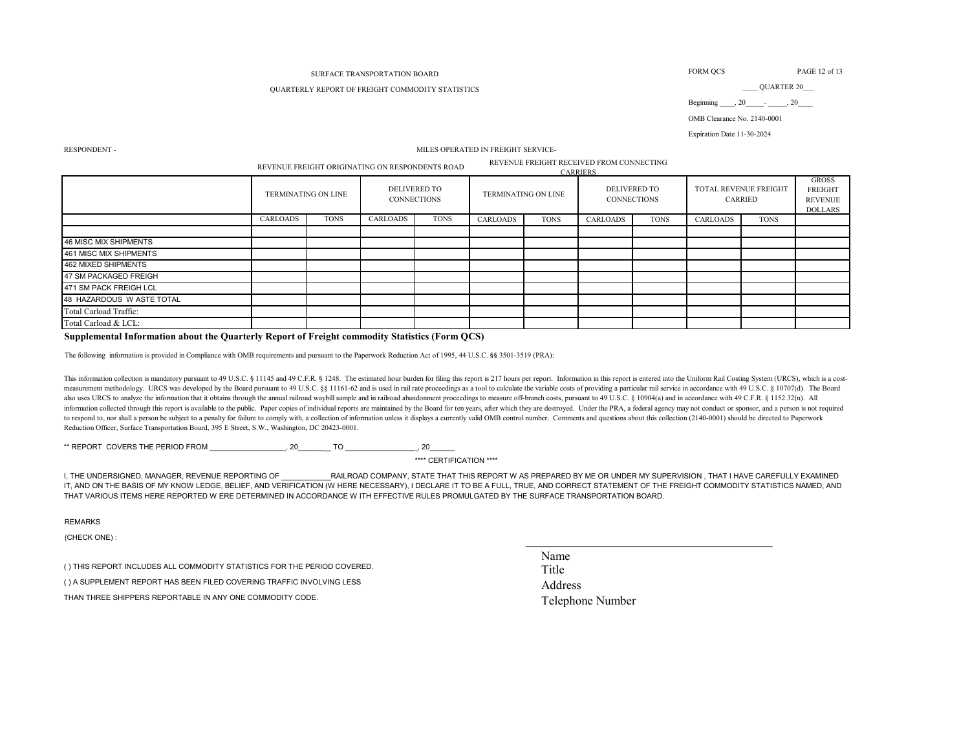### QUARTERLY REPORT OF FREIGHT COMMODITY STATISTICS \_\_\_\_ QUARTER 20\_\_\_

FORM QCS PAGE 12 of 13

Beginning  $, 20 , 20$ 

OMB Clearance No. 2140-0001

Expiration Date 11-30-2024

#### RESPONDENT - MILES OPERATED IN FREIGHT SERVICE-

|                              |                 |                            | REVENUE FREIGHT ORIGINATING ON RESPONDENTS ROAD |             |                            |             | REVENUE FREIGHT RECEIVED FROM CONNECTING<br><b>CARRIERS</b> |             |                 |                                         |                                               |
|------------------------------|-----------------|----------------------------|-------------------------------------------------|-------------|----------------------------|-------------|-------------------------------------------------------------|-------------|-----------------|-----------------------------------------|-----------------------------------------------|
|                              |                 | <b>TERMINATING ON LINE</b> | DELIVERED TO<br><b>CONNECTIONS</b>              |             | <b>TERMINATING ON LINE</b> |             | <b>DELIVERED TO</b><br><b>CONNECTIONS</b>                   |             |                 | TOTAL REVENUE FREIGHT<br><b>CARRIED</b> | <b>GROSS</b><br>FREIGHT<br>REVENUE<br>DOLLARS |
|                              | <b>CARLOADS</b> | <b>TONS</b>                | <b>CARLOADS</b>                                 | <b>TONS</b> | <b>CARLOADS</b>            | <b>TONS</b> | <b>CARLOADS</b>                                             | <b>TONS</b> | <b>CARLOADS</b> | <b>TONS</b>                             |                                               |
|                              |                 |                            |                                                 |             |                            |             |                                                             |             |                 |                                         |                                               |
| <b>46 MISC MIX SHIPMENTS</b> |                 |                            |                                                 |             |                            |             |                                                             |             |                 |                                         |                                               |
| 461 MISC MIX SHIPMENTS       |                 |                            |                                                 |             |                            |             |                                                             |             |                 |                                         |                                               |
| 462 MIXED SHIPMENTS          |                 |                            |                                                 |             |                            |             |                                                             |             |                 |                                         |                                               |
| 47 SM PACKAGED FREIGH        |                 |                            |                                                 |             |                            |             |                                                             |             |                 |                                         |                                               |
| 471 SM PACK FREIGH LCL       |                 |                            |                                                 |             |                            |             |                                                             |             |                 |                                         |                                               |
| 48 HAZARDOUS W ASTE TOTAL    |                 |                            |                                                 |             |                            |             |                                                             |             |                 |                                         |                                               |
| Total Carload Traffic:       |                 |                            |                                                 |             |                            |             |                                                             |             |                 |                                         |                                               |
| Total Carload & LCL:         |                 |                            |                                                 |             |                            |             |                                                             |             |                 |                                         |                                               |

#### **Supplemental Information about the Quarterly Report of Freight commodity Statistics (Form QCS)**

The following information is provided in Compliance with OMB requirements and pursuant to the Paperwork Reduction Act of 1995, 44 U.S.C. §§ 3501-3519 (PRA):

This information collection is mandatory pursuant to 49 U.S.C. § 11145 and 49 C.F.R. § 1248. The estimated hour burden for filing this report is 217 hours per report. Information in this report is entered into the Uniform measurement methodology. URCS was developed by the Board pursuant to 49 U.S.C. §§ 11161-62 and is used in rail rate proceedings as a tool to calculate the variable costs of providing a particular rail service in accordance also uses URCS to analyze the information that it obtains through the annual railroad waybill sample and in railroad abandonment proceedings to measure off-branch costs, pursuant to 49 U.S.C. § 10904(a) and in accordance w information collected through this report is available to the public. Paper copies of individual reports are maintained by the Board for ten years, after which they are destroyed. Under the PRA, a federal agency may not co to respond to, nor shall a person be subject to a penalty for failure to comply with, a collection of information unless it displays a currently valid OMB control number. Comments and questions about this collection (2140-Reduction Officer, Surface Transportation Board, 395 E Street, S.W., Washington, DC 20423-0001.

\*\* REPORT COVERS THE PERIOD FROM \_\_\_\_\_\_\_\_\_\_\_\_\_\_\_\_\_\_ , 20\_\_\_\_\_\_ TO \_\_\_\_\_\_\_\_\_\_\_\_\_\_\_\_\_ , 20\_\_\_\_\_\_

\*\*\*\* CERTIFICATION \*\*\*\*

I, THE UNDERSIGNED, MANAGER, REVENUE REPORTING OF RAILROAD COMPANY, STATE THAT THIS REPORT W AS PREPARED BY ME OR UNDER MY SUPERVISION , THAT I HAVE CAREFULLY EXAMINED IT, AND ON THE BASIS OF MY KNOW LEDGE, BELIEF, AND VERIFICATION (W HERE NECESSARY), I DECLARE IT TO BE A FULL, TRUE, AND CORRECT STATEMENT OF THE FREIGHT COMMODITY STATISTICS NAMED, AND THAT VARIOUS ITEMS HERE REPORTED W ERE DETERMINED IN ACCORDANCE W ITH EFFECTIVE RULES PROMULGATED BY THE SURFACE TRANSPORTATION BOARD.

REMARKS

(CHECK ONE) :<br>
(CHECK ONE) :

( ) THIS REPORT INCLUDES ALL COMMODITY STATISTICS FOR THE PERIOD COVERED.

( ) A SUPPLEMENT REPORT HAS BEEN FILED COVERING TRAFFIC INVOLVING LESS

THAN THREE SHIPPERS REPORTABLE IN ANY ONE COMMODITY CODE.

 Telephone Number Title Address Name